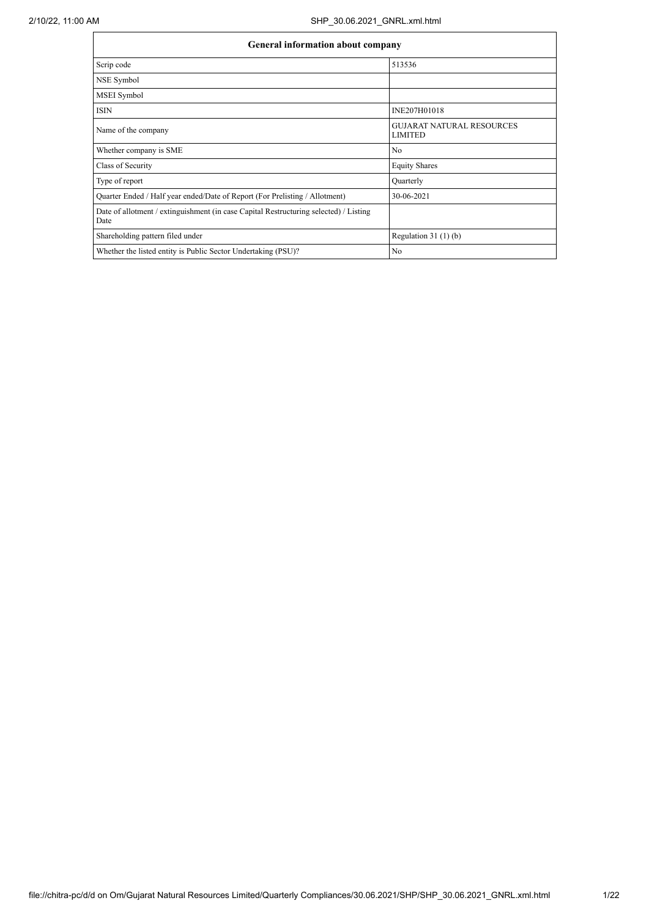| <b>General information about company</b>                                                      |                                                    |  |  |  |  |  |
|-----------------------------------------------------------------------------------------------|----------------------------------------------------|--|--|--|--|--|
| Scrip code                                                                                    | 513536                                             |  |  |  |  |  |
| NSE Symbol                                                                                    |                                                    |  |  |  |  |  |
| <b>MSEI</b> Symbol                                                                            |                                                    |  |  |  |  |  |
| <b>ISIN</b>                                                                                   | INE207H01018                                       |  |  |  |  |  |
| Name of the company                                                                           | <b>GUJARAT NATURAL RESOURCES</b><br><b>LIMITED</b> |  |  |  |  |  |
| Whether company is SME                                                                        | N <sub>0</sub>                                     |  |  |  |  |  |
| Class of Security                                                                             | <b>Equity Shares</b>                               |  |  |  |  |  |
| Type of report                                                                                | Quarterly                                          |  |  |  |  |  |
| Quarter Ended / Half year ended/Date of Report (For Prelisting / Allotment)                   | 30-06-2021                                         |  |  |  |  |  |
| Date of allotment / extinguishment (in case Capital Restructuring selected) / Listing<br>Date |                                                    |  |  |  |  |  |
| Shareholding pattern filed under                                                              | Regulation $31(1)(b)$                              |  |  |  |  |  |
| Whether the listed entity is Public Sector Undertaking (PSU)?                                 | N <sub>0</sub>                                     |  |  |  |  |  |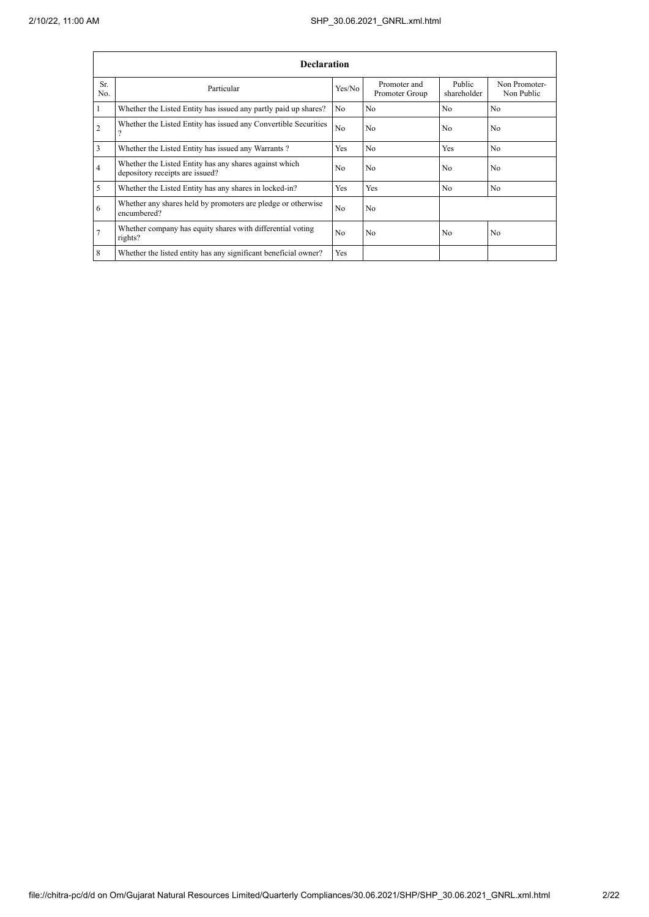|            | <b>Declaration</b>                                                                        |                |                                |                       |                             |
|------------|-------------------------------------------------------------------------------------------|----------------|--------------------------------|-----------------------|-----------------------------|
| Sr.<br>No. | Particular                                                                                | Yes/No         | Promoter and<br>Promoter Group | Public<br>shareholder | Non Promoter-<br>Non Public |
|            | Whether the Listed Entity has issued any partly paid up shares?                           | N <sub>0</sub> | N <sub>0</sub>                 | N <sub>0</sub>        | N <sub>0</sub>              |
| 2          | Whether the Listed Entity has issued any Convertible Securities<br>$\Omega$               | N <sub>0</sub> | N <sub>0</sub>                 | N <sub>0</sub>        | N <sub>0</sub>              |
| 3          | Whether the Listed Entity has issued any Warrants?                                        | Yes            | N <sub>0</sub>                 | Yes                   | N <sub>0</sub>              |
| 4          | Whether the Listed Entity has any shares against which<br>depository receipts are issued? | N <sub>0</sub> | N <sub>0</sub>                 | N <sub>0</sub>        | N <sub>0</sub>              |
| 5          | Whether the Listed Entity has any shares in locked-in?                                    | Yes            | Yes                            | N <sub>0</sub>        | No                          |
| 6          | Whether any shares held by promoters are pledge or otherwise<br>encumbered?               | N <sub>0</sub> | N <sub>0</sub>                 |                       |                             |
| 7          | Whether company has equity shares with differential voting<br>rights?                     | N <sub>0</sub> | N <sub>0</sub>                 | N <sub>0</sub>        | N <sub>0</sub>              |
| 8          | Whether the listed entity has any significant beneficial owner?                           | Yes            |                                |                       |                             |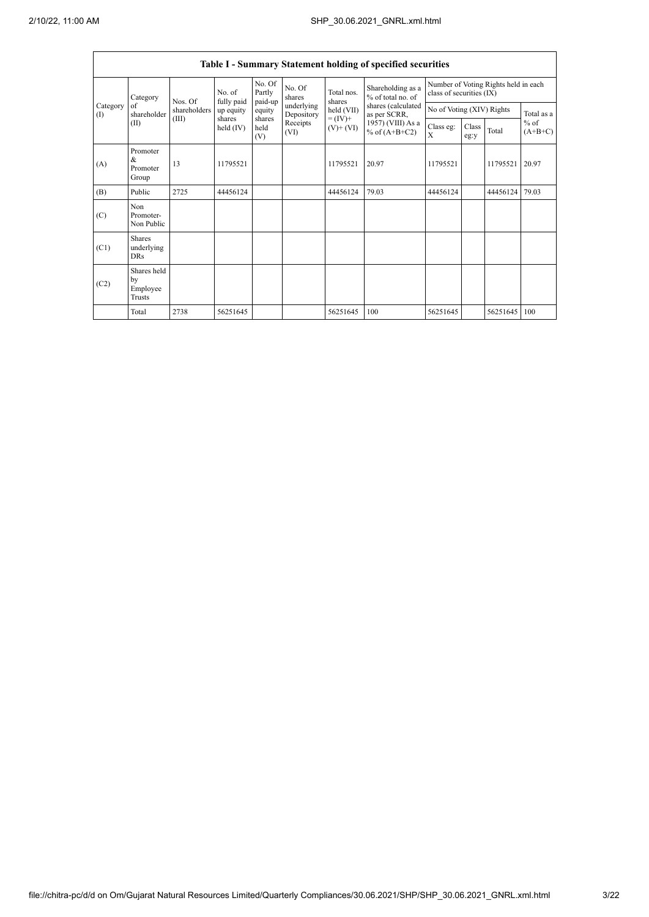$\mathsf{r}$ 

Ĩ.

|                          | Table I - Summary Statement holding of specified securities |                                  |                       |                             |                          |                                                                    |                                                                                                                      |                                                                  |               |          |                                   |
|--------------------------|-------------------------------------------------------------|----------------------------------|-----------------------|-----------------------------|--------------------------|--------------------------------------------------------------------|----------------------------------------------------------------------------------------------------------------------|------------------------------------------------------------------|---------------|----------|-----------------------------------|
|                          | Category                                                    | Nos. Of<br>shareholders<br>(III) | No. of<br>fully paid  | No. Of<br>Partly<br>paid-up | No. Of<br>shares         | Total nos.<br>shares<br>held (VII)<br>$= (IV) +$<br>$(V)$ + $(VI)$ | Shareholding as a<br>% of total no. of<br>shares (calculated<br>as per SCRR,<br>1957) (VIII) As a<br>% of $(A+B+C2)$ | Number of Voting Rights held in each<br>class of securities (IX) |               |          |                                   |
| Category<br>$($ $\Gamma$ | of<br>shareholder                                           |                                  | up equity             | equity                      | underlying<br>Depository |                                                                    |                                                                                                                      | No of Voting (XIV) Rights                                        |               |          | Total as a<br>$%$ of<br>$(A+B+C)$ |
|                          | (II)                                                        |                                  | shares<br>held $(IV)$ | shares<br>held<br>(V)       | Receipts<br>(VI)         |                                                                    |                                                                                                                      | Class eg:<br>X                                                   | Class<br>eg:y | Total    |                                   |
| (A)                      | Promoter<br>&<br>Promoter<br>Group                          | 13                               | 11795521              |                             |                          | 11795521                                                           | 20.97                                                                                                                | 11795521                                                         |               | 11795521 | 20.97                             |
| (B)                      | Public                                                      | 2725                             | 44456124              |                             |                          | 44456124                                                           | 79.03                                                                                                                | 44456124                                                         |               | 44456124 | 79.03                             |
| (C)                      | Non<br>Promoter-<br>Non Public                              |                                  |                       |                             |                          |                                                                    |                                                                                                                      |                                                                  |               |          |                                   |
| (C1)                     | <b>Shares</b><br>underlying<br><b>DRs</b>                   |                                  |                       |                             |                          |                                                                    |                                                                                                                      |                                                                  |               |          |                                   |
| (C2)                     | Shares held<br>by<br>Employee<br>Trusts                     |                                  |                       |                             |                          |                                                                    |                                                                                                                      |                                                                  |               |          |                                   |
|                          | Total                                                       | 2738                             | 56251645              |                             |                          | 56251645                                                           | 100                                                                                                                  | 56251645                                                         |               | 56251645 | 100                               |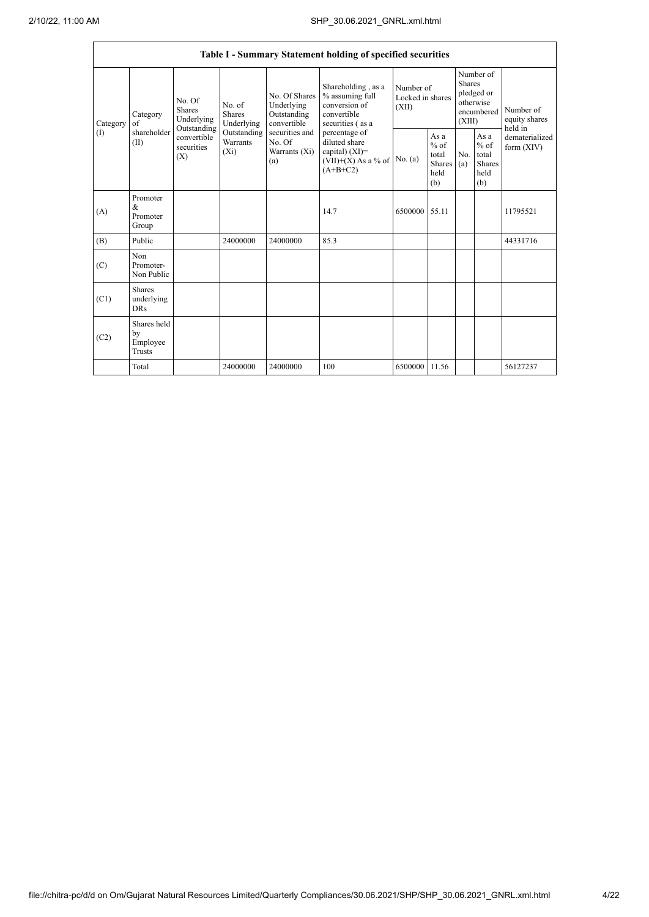|                 |                                           |                                                                                                                                |                         |                                                                                                               | Table I - Summary Statement holding of specified securities                                                                                                                             |                                        |                                                                               |            |                                                         |                                           |
|-----------------|-------------------------------------------|--------------------------------------------------------------------------------------------------------------------------------|-------------------------|---------------------------------------------------------------------------------------------------------------|-----------------------------------------------------------------------------------------------------------------------------------------------------------------------------------------|----------------------------------------|-------------------------------------------------------------------------------|------------|---------------------------------------------------------|-------------------------------------------|
| Category<br>(1) | Category<br>of<br>shareholder<br>(II)     | No. Of<br>No. of<br><b>Shares</b><br><b>Shares</b><br>Underlying<br>Outstanding<br>convertible<br>securities<br>$(X_i)$<br>(X) | Underlying              | No. Of Shares<br>Underlying<br>Outstanding<br>convertible<br>securities and<br>No. Of<br>Warrants (Xi)<br>(a) | Shareholding, as a<br>% assuming full<br>conversion of<br>convertible<br>securities (as a<br>percentage of<br>diluted share<br>capital) $(XI)$ =<br>$(VII)+(X)$ As a % of<br>$(A+B+C2)$ | Number of<br>Locked in shares<br>(XII) | Number of<br><b>Shares</b><br>pledged or<br>otherwise<br>encumbered<br>(XIII) |            | Number of<br>equity shares                              |                                           |
|                 |                                           |                                                                                                                                | Outstanding<br>Warrants |                                                                                                               |                                                                                                                                                                                         | No. (a)                                | As a<br>$%$ of<br>total<br><b>Shares</b><br>held<br>(b)                       | No.<br>(a) | As a<br>$%$ of<br>total<br><b>Shares</b><br>held<br>(b) | held in<br>dematerialized<br>form $(XIV)$ |
| (A)             | Promoter<br>&<br>Promoter<br>Group        |                                                                                                                                |                         |                                                                                                               | 14.7                                                                                                                                                                                    | 6500000 55.11                          |                                                                               |            |                                                         | 11795521                                  |
| (B)             | Public                                    |                                                                                                                                | 24000000                | 24000000                                                                                                      | 85.3                                                                                                                                                                                    |                                        |                                                                               |            |                                                         | 44331716                                  |
| (C)             | Non<br>Promoter-<br>Non Public            |                                                                                                                                |                         |                                                                                                               |                                                                                                                                                                                         |                                        |                                                                               |            |                                                         |                                           |
| (C1)            | <b>Shares</b><br>underlying<br><b>DRs</b> |                                                                                                                                |                         |                                                                                                               |                                                                                                                                                                                         |                                        |                                                                               |            |                                                         |                                           |
| (C2)            | Shares held<br>by<br>Employee<br>Trusts   |                                                                                                                                |                         |                                                                                                               |                                                                                                                                                                                         |                                        |                                                                               |            |                                                         |                                           |
|                 | Total                                     |                                                                                                                                | 24000000                | 24000000                                                                                                      | 100                                                                                                                                                                                     | 6500000                                | 11.56                                                                         |            |                                                         | 56127237                                  |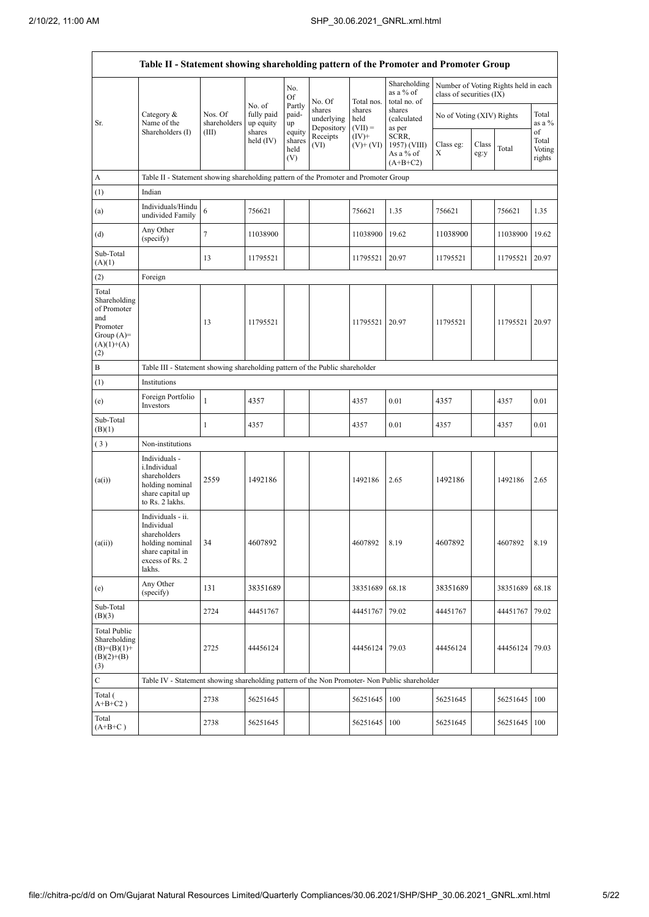Ť

|                                                                                                | Table II - Statement showing shareholding pattern of the Promoter and Promoter Group                                |                                                                              |                                   |                                 |                                    |                             |                                                  |                           |                                 |                                      |                   |
|------------------------------------------------------------------------------------------------|---------------------------------------------------------------------------------------------------------------------|------------------------------------------------------------------------------|-----------------------------------|---------------------------------|------------------------------------|-----------------------------|--------------------------------------------------|---------------------------|---------------------------------|--------------------------------------|-------------------|
|                                                                                                |                                                                                                                     |                                                                              |                                   | No.<br><b>Of</b>                | No. Of                             | Total nos.                  | Shareholding<br>as a % of<br>total no. of        | class of securities (IX)  |                                 | Number of Voting Rights held in each |                   |
| Sr.                                                                                            | Category $\&$<br>Name of the                                                                                        | Nos. Of<br>shareholders                                                      | No. of<br>fully paid<br>up equity | Partly<br>paid-<br>up           | shares<br>underlying<br>Depository | shares<br>held<br>$(VII) =$ | shares<br>(calculated<br>as per                  | No of Voting (XIV) Rights |                                 |                                      | Total<br>as a $%$ |
|                                                                                                | Shareholders (I)                                                                                                    | (III)                                                                        | shares<br>held (IV)               | equity<br>shares<br>held<br>(V) | Receipts<br>(VI)                   | $(IV)+$<br>$(V)$ + $(VI)$   | SCRR,<br>1957) (VIII)<br>As a % of<br>$(A+B+C2)$ | Class eg:<br>Х            | of<br>Total<br>Voting<br>rights |                                      |                   |
| A                                                                                              | Table II - Statement showing shareholding pattern of the Promoter and Promoter Group                                |                                                                              |                                   |                                 |                                    |                             |                                                  |                           |                                 |                                      |                   |
| (1)                                                                                            | Indian                                                                                                              |                                                                              |                                   |                                 |                                    |                             |                                                  |                           |                                 |                                      |                   |
| (a)                                                                                            | Individuals/Hindu<br>undivided Family                                                                               | 6                                                                            | 756621                            |                                 |                                    | 756621                      | 1.35                                             | 756621                    |                                 | 756621                               | 1.35              |
| (d)                                                                                            | Any Other<br>(specify)                                                                                              | $\tau$                                                                       | 11038900                          |                                 |                                    | 11038900                    | 19.62                                            | 11038900                  |                                 | 11038900                             | 19.62             |
| Sub-Total<br>(A)(1)                                                                            |                                                                                                                     | 13                                                                           | 11795521                          |                                 |                                    | 11795521                    | 20.97                                            | 11795521                  |                                 | 11795521                             | 20.97             |
| (2)                                                                                            | Foreign                                                                                                             |                                                                              |                                   |                                 |                                    |                             |                                                  |                           |                                 |                                      |                   |
| Total<br>Shareholding<br>of Promoter<br>and<br>Promoter<br>Group $(A)=$<br>$(A)(1)+(A)$<br>(2) |                                                                                                                     | 13                                                                           | 11795521                          |                                 |                                    | 11795521                    | 20.97                                            | 11795521                  |                                 | 11795521                             | 20.97             |
| B                                                                                              |                                                                                                                     | Table III - Statement showing shareholding pattern of the Public shareholder |                                   |                                 |                                    |                             |                                                  |                           |                                 |                                      |                   |
| (1)                                                                                            | Institutions                                                                                                        |                                                                              |                                   |                                 |                                    |                             |                                                  |                           |                                 |                                      |                   |
| (e)                                                                                            | Foreign Portfolio<br>Investors                                                                                      | $\mathbf{1}$                                                                 | 4357                              |                                 |                                    | 4357                        | 0.01                                             | 4357                      |                                 | 4357                                 | 0.01              |
| Sub-Total<br>(B)(1)                                                                            |                                                                                                                     | 1                                                                            | 4357                              |                                 |                                    | 4357                        | 0.01                                             | 4357                      |                                 | 4357                                 | 0.01              |
| (3)                                                                                            | Non-institutions                                                                                                    |                                                                              |                                   |                                 |                                    |                             |                                                  |                           |                                 |                                      |                   |
| (a(i))                                                                                         | Individuals -<br>i.Individual<br>shareholders<br>holding nominal<br>share capital up<br>to Rs. 2 lakhs.             | 2559                                                                         | 1492186                           |                                 |                                    | 1492186                     | 2.65                                             | 1492186                   |                                 | 1492186                              | 2.65              |
| (a(ii))                                                                                        | Individuals - ii.<br>Individual<br>shareholders<br>holding nominal<br>share capital in<br>excess of Rs. 2<br>lakhs. | 34                                                                           | 4607892                           |                                 |                                    | 4607892                     | 8.19                                             | 4607892                   |                                 | 4607892                              | 8.19              |
| (e)                                                                                            | Any Other<br>(specify)                                                                                              | 131                                                                          | 38351689                          |                                 |                                    | 38351689                    | 68.18                                            | 38351689                  |                                 | 38351689                             | 68.18             |
| Sub-Total<br>(B)(3)                                                                            |                                                                                                                     | 2724                                                                         | 44451767                          |                                 |                                    | 44451767                    | 79.02                                            | 44451767                  |                                 | 44451767                             | 79.02             |
| <b>Total Public</b><br>Shareholding<br>$(B)=(B)(1)+$<br>$(B)(2)+(B)$<br>(3)                    |                                                                                                                     | 2725                                                                         | 44456124                          |                                 |                                    | 44456124                    | 79.03                                            | 44456124                  |                                 | 44456124                             | 79.03             |
| $\mathbf C$                                                                                    | Table IV - Statement showing shareholding pattern of the Non Promoter- Non Public shareholder                       |                                                                              |                                   |                                 |                                    |                             |                                                  |                           |                                 |                                      |                   |
| Total (<br>$A+B+C2$ )                                                                          |                                                                                                                     | 2738                                                                         | 56251645                          |                                 |                                    | 56251645                    | 100                                              | 56251645                  |                                 | 56251645                             | 100               |
| Total<br>$(A+B+C)$                                                                             |                                                                                                                     | 2738                                                                         | 56251645                          |                                 |                                    | 56251645                    | 100                                              | 56251645                  |                                 | 56251645                             | 100               |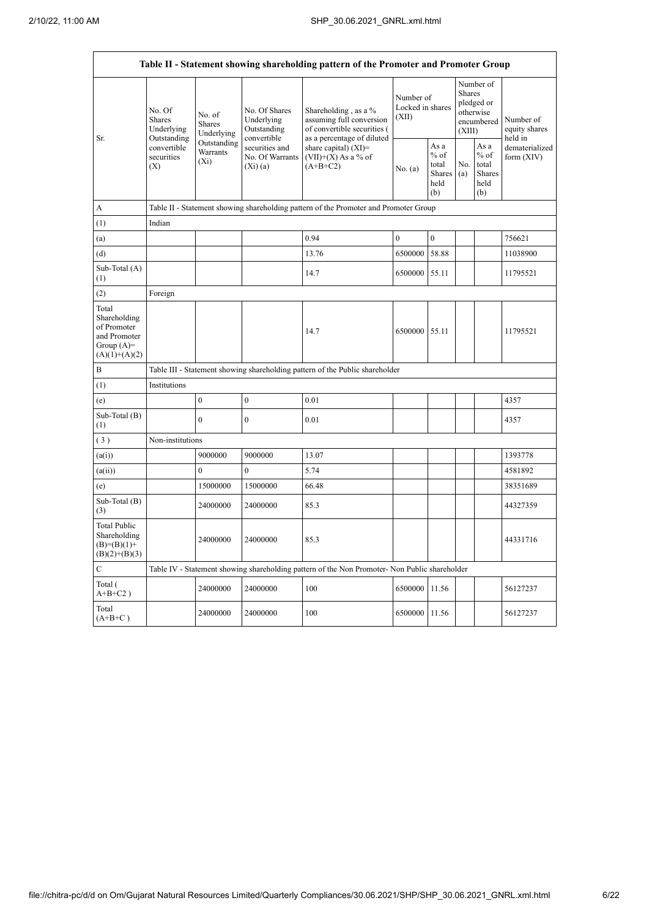| Table II - Statement showing shareholding pattern of the Promoter and Promoter Group    |                                                      |                                       |                                                           |                                                                                                               |                                        |                                                         |                                                                               |                                                         |                                       |  |
|-----------------------------------------------------------------------------------------|------------------------------------------------------|---------------------------------------|-----------------------------------------------------------|---------------------------------------------------------------------------------------------------------------|----------------------------------------|---------------------------------------------------------|-------------------------------------------------------------------------------|---------------------------------------------------------|---------------------------------------|--|
|                                                                                         | No. Of<br><b>Shares</b><br>Underlying<br>Outstanding | No. of<br><b>Shares</b><br>Underlying | No. Of Shares<br>Underlying<br>Outstanding<br>convertible | Shareholding, as a %<br>assuming full conversion<br>of convertible securities (<br>as a percentage of diluted | Number of<br>Locked in shares<br>(XII) |                                                         | Number of<br><b>Shares</b><br>pledged or<br>otherwise<br>encumbered<br>(XIII) |                                                         | Number of<br>equity shares<br>held in |  |
| Sr.                                                                                     | convertible<br>securities<br>(X)                     | Outstanding<br>Warrants<br>$(X_i)$    | securities and<br>No. Of Warrants<br>(Xi)(a)              | share capital) (XI)=<br>$(VII)+(X)$ As a % of<br>$(A+B+C2)$                                                   | No. (a)                                | As a<br>$%$ of<br>total<br><b>Shares</b><br>held<br>(b) | No.<br>(a)                                                                    | As a<br>$%$ of<br>total<br><b>Shares</b><br>held<br>(b) | dematerialized<br>form (XIV)          |  |
| A                                                                                       |                                                      |                                       |                                                           | Table II - Statement showing shareholding pattern of the Promoter and Promoter Group                          |                                        |                                                         |                                                                               |                                                         |                                       |  |
| (1)                                                                                     | Indian                                               |                                       |                                                           |                                                                                                               |                                        |                                                         |                                                                               |                                                         |                                       |  |
| (a)                                                                                     |                                                      |                                       |                                                           | 0.94                                                                                                          | $\boldsymbol{0}$                       | $\boldsymbol{0}$                                        |                                                                               |                                                         | 756621                                |  |
| (d)                                                                                     |                                                      |                                       |                                                           | 13.76                                                                                                         | 6500000                                | 58.88                                                   |                                                                               |                                                         | 11038900                              |  |
| Sub-Total (A)<br>(1)                                                                    |                                                      |                                       |                                                           | 14.7                                                                                                          | 6500000                                | 55.11                                                   |                                                                               |                                                         | 11795521                              |  |
| (2)                                                                                     | Foreign                                              |                                       |                                                           |                                                                                                               |                                        |                                                         |                                                                               |                                                         |                                       |  |
| Total<br>Shareholding<br>of Promoter<br>and Promoter<br>Group $(A)=$<br>$(A)(1)+(A)(2)$ |                                                      |                                       |                                                           | 14.7                                                                                                          | 6500000                                | 55.11                                                   |                                                                               |                                                         | 11795521                              |  |
| B                                                                                       |                                                      |                                       |                                                           | Table III - Statement showing shareholding pattern of the Public shareholder                                  |                                        |                                                         |                                                                               |                                                         |                                       |  |
| (1)                                                                                     | Institutions                                         |                                       |                                                           |                                                                                                               |                                        |                                                         |                                                                               |                                                         |                                       |  |
| (e)                                                                                     |                                                      | $\mathbf{0}$                          | $\overline{0}$                                            | 0.01                                                                                                          |                                        |                                                         |                                                                               |                                                         | 4357                                  |  |
| Sub-Total (B)<br>(1)                                                                    |                                                      | $\theta$                              | $\overline{0}$                                            | 0.01                                                                                                          |                                        |                                                         |                                                                               |                                                         | 4357                                  |  |
| (3)                                                                                     | Non-institutions                                     |                                       |                                                           |                                                                                                               |                                        |                                                         |                                                                               |                                                         |                                       |  |
| (a(i))                                                                                  |                                                      | 9000000                               | 9000000                                                   | 13.07                                                                                                         |                                        |                                                         |                                                                               |                                                         | 1393778                               |  |
| (a(ii))                                                                                 |                                                      | $\theta$                              | $\boldsymbol{0}$                                          | 5.74                                                                                                          |                                        |                                                         |                                                                               |                                                         | 4581892                               |  |
| (e)                                                                                     |                                                      | 15000000                              | 15000000                                                  | 66.48                                                                                                         |                                        |                                                         |                                                                               |                                                         | 38351689                              |  |
| Sub-Total (B)<br>(3)                                                                    |                                                      | 24000000                              | 24000000                                                  | 85.3                                                                                                          |                                        |                                                         |                                                                               |                                                         | 44327359                              |  |
| <b>Total Public</b><br>Shareholding<br>$(B)=(B)(1)+$<br>$(B)(2)+(B)(3)$                 |                                                      | 24000000                              | 24000000                                                  | 85.3                                                                                                          |                                        |                                                         |                                                                               |                                                         | 44331716                              |  |
| $\mathcal{C}$                                                                           |                                                      |                                       |                                                           | Table IV - Statement showing shareholding pattern of the Non Promoter- Non Public shareholder                 |                                        |                                                         |                                                                               |                                                         |                                       |  |
| Total (<br>$A+B+C2$ )                                                                   |                                                      | 24000000                              | 24000000                                                  | 100                                                                                                           | 6500000                                | 11.56                                                   |                                                                               |                                                         | 56127237                              |  |
| Total<br>$(A+B+C)$                                                                      |                                                      | 24000000                              | 24000000                                                  | 100                                                                                                           | 6500000                                | 11.56                                                   |                                                                               |                                                         | 56127237                              |  |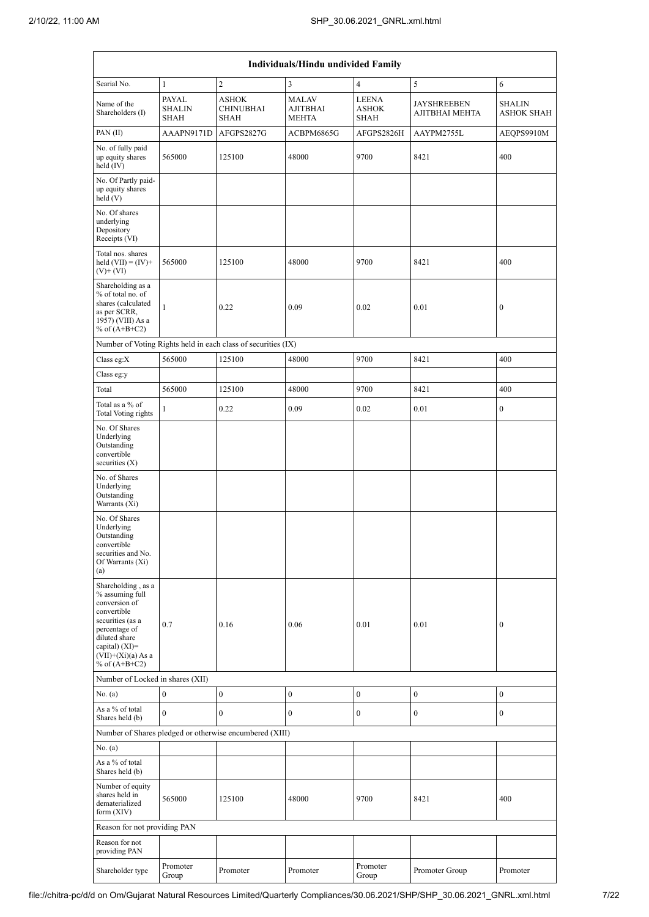|                                                                                                                                                                                             | Individuals/Hindu undivided Family           |                                                               |                                                 |                                             |                                      |                                    |  |  |
|---------------------------------------------------------------------------------------------------------------------------------------------------------------------------------------------|----------------------------------------------|---------------------------------------------------------------|-------------------------------------------------|---------------------------------------------|--------------------------------------|------------------------------------|--|--|
| Searial No.                                                                                                                                                                                 | $\mathbf{1}$                                 | $\sqrt{2}$                                                    | 3                                               | $\overline{4}$                              | 5                                    | 6                                  |  |  |
| Name of the<br>Shareholders (I)                                                                                                                                                             | <b>PAYAL</b><br><b>SHALIN</b><br><b>SHAH</b> | <b>ASHOK</b><br><b>CHINUBHAI</b><br><b>SHAH</b>               | <b>MALAV</b><br><b>AJITBHAI</b><br><b>MEHTA</b> | <b>LEENA</b><br><b>ASHOK</b><br><b>SHAH</b> | <b>JAYSHREEBEN</b><br>AJITBHAI MEHTA | <b>SHALIN</b><br><b>ASHOK SHAH</b> |  |  |
| PAN(II)                                                                                                                                                                                     | AAAPN9171D                                   | AFGPS2827G                                                    | ACBPM6865G                                      | AFGPS2826H                                  | AAYPM2755L                           | AEQPS9910M                         |  |  |
| No. of fully paid<br>up equity shares<br>held (IV)                                                                                                                                          | 565000                                       | 125100                                                        | 48000                                           | 9700                                        | 8421                                 | 400                                |  |  |
| No. Of Partly paid-<br>up equity shares<br>held (V)                                                                                                                                         |                                              |                                                               |                                                 |                                             |                                      |                                    |  |  |
| No. Of shares<br>underlying<br>Depository<br>Receipts (VI)                                                                                                                                  |                                              |                                                               |                                                 |                                             |                                      |                                    |  |  |
| Total nos. shares<br>held $(VII) = (IV) +$<br>$(V)$ + $(VI)$                                                                                                                                | 565000                                       | 125100                                                        | 48000                                           | 9700                                        | 8421                                 | 400                                |  |  |
| Shareholding as a<br>% of total no. of<br>shares (calculated<br>as per SCRR,<br>1957) (VIII) As a<br>% of $(A+B+C2)$                                                                        | $\mathbf{1}$                                 | 0.22                                                          | 0.09                                            | 0.02                                        | 0.01                                 | $\boldsymbol{0}$                   |  |  |
|                                                                                                                                                                                             |                                              | Number of Voting Rights held in each class of securities (IX) |                                                 |                                             |                                      |                                    |  |  |
| Class eg:X                                                                                                                                                                                  | 565000                                       | 125100                                                        | 48000                                           | 9700                                        | 8421                                 | 400                                |  |  |
| Class eg:y                                                                                                                                                                                  |                                              |                                                               |                                                 |                                             |                                      |                                    |  |  |
| Total                                                                                                                                                                                       | 565000                                       | 125100                                                        | 48000                                           | 9700                                        | 8421                                 | 400                                |  |  |
| Total as a % of<br>Total Voting rights                                                                                                                                                      | 1                                            | 0.22                                                          | 0.09                                            | 0.02                                        | 0.01                                 | $\boldsymbol{0}$                   |  |  |
| No. Of Shares<br>Underlying<br>Outstanding<br>convertible<br>securities $(X)$                                                                                                               |                                              |                                                               |                                                 |                                             |                                      |                                    |  |  |
| No. of Shares<br>Underlying<br>Outstanding<br>Warrants (Xi)                                                                                                                                 |                                              |                                                               |                                                 |                                             |                                      |                                    |  |  |
| No. Of Shares<br>Underlying<br>Outstanding<br>convertible<br>securities and No.<br>Of Warrants (Xi)<br>(a)                                                                                  |                                              |                                                               |                                                 |                                             |                                      |                                    |  |  |
| Shareholding, as a<br>% assuming full<br>conversion of<br>convertible<br>securities (as a<br>percentage of<br>diluted share<br>capital) $(XI)$ =<br>$(VII)+(Xi)(a) As a$<br>% of $(A+B+C2)$ | 0.7                                          | 0.16                                                          | 0.06                                            | 0.01                                        | 0.01                                 | $\mathbf{0}$                       |  |  |
| Number of Locked in shares (XII)                                                                                                                                                            |                                              |                                                               |                                                 |                                             |                                      |                                    |  |  |
| No. (a)                                                                                                                                                                                     | $\boldsymbol{0}$                             | $\boldsymbol{0}$                                              | $\boldsymbol{0}$                                | $\boldsymbol{0}$                            | $\boldsymbol{0}$                     | $\boldsymbol{0}$                   |  |  |
| As a % of total<br>Shares held (b)                                                                                                                                                          | $\mathbf{0}$                                 | $\mathbf{0}$                                                  | $\mathbf{0}$                                    | $\boldsymbol{0}$                            | $\boldsymbol{0}$                     | $\mathbf{0}$                       |  |  |
|                                                                                                                                                                                             |                                              | Number of Shares pledged or otherwise encumbered (XIII)       |                                                 |                                             |                                      |                                    |  |  |
| No. $(a)$                                                                                                                                                                                   |                                              |                                                               |                                                 |                                             |                                      |                                    |  |  |
| As a % of total<br>Shares held (b)                                                                                                                                                          |                                              |                                                               |                                                 |                                             |                                      |                                    |  |  |
| Number of equity<br>shares held in<br>dematerialized<br>form $(XIV)$                                                                                                                        | 565000                                       | 125100                                                        | 48000                                           | 9700                                        | 8421                                 | 400                                |  |  |
| Reason for not providing PAN                                                                                                                                                                |                                              |                                                               |                                                 |                                             |                                      |                                    |  |  |
| Reason for not<br>providing PAN                                                                                                                                                             |                                              |                                                               |                                                 |                                             |                                      |                                    |  |  |
| Shareholder type                                                                                                                                                                            | Promoter<br>Group                            | Promoter                                                      | Promoter                                        | Promoter<br>Group                           | Promoter Group                       | Promoter                           |  |  |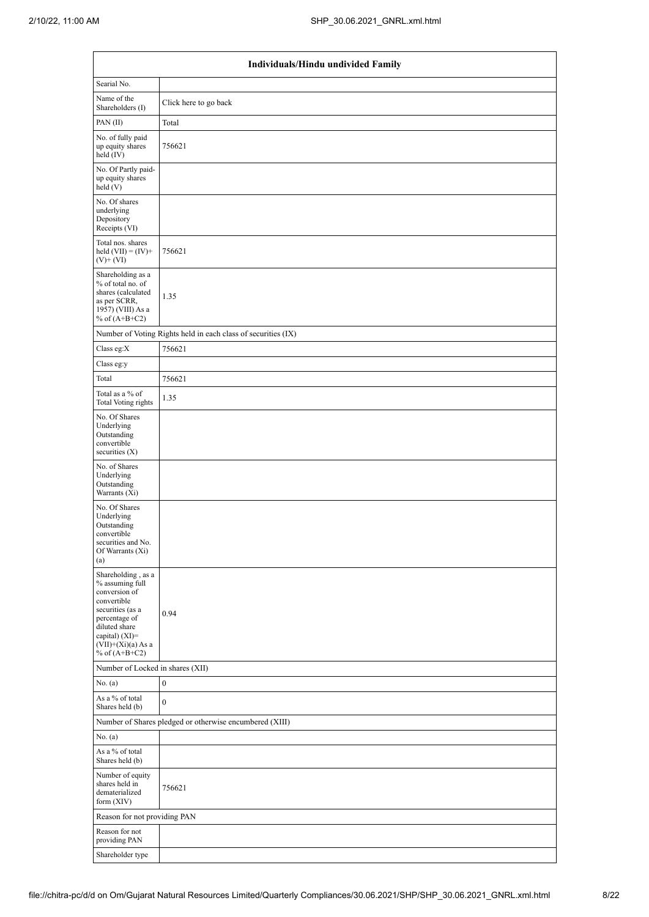| Individuals/Hindu undivided Family                                                                                                                                                       |                                                               |  |  |  |  |  |  |
|------------------------------------------------------------------------------------------------------------------------------------------------------------------------------------------|---------------------------------------------------------------|--|--|--|--|--|--|
| Searial No.                                                                                                                                                                              |                                                               |  |  |  |  |  |  |
| Name of the<br>Shareholders (I)                                                                                                                                                          | Click here to go back                                         |  |  |  |  |  |  |
| PAN(II)                                                                                                                                                                                  | Total                                                         |  |  |  |  |  |  |
| No. of fully paid<br>up equity shares<br>held (IV)                                                                                                                                       | 756621                                                        |  |  |  |  |  |  |
| No. Of Partly paid-<br>up equity shares<br>held(V)                                                                                                                                       |                                                               |  |  |  |  |  |  |
| No. Of shares<br>underlying<br>Depository<br>Receipts (VI)                                                                                                                               |                                                               |  |  |  |  |  |  |
| Total nos. shares<br>held $(VII) = (IV) +$<br>$(V)$ + $(VI)$                                                                                                                             | 756621                                                        |  |  |  |  |  |  |
| Shareholding as a<br>% of total no. of<br>shares (calculated<br>as per SCRR,<br>1957) (VIII) As a<br>% of $(A+B+C2)$                                                                     | 1.35                                                          |  |  |  |  |  |  |
|                                                                                                                                                                                          | Number of Voting Rights held in each class of securities (IX) |  |  |  |  |  |  |
| Class eg:X                                                                                                                                                                               | 756621                                                        |  |  |  |  |  |  |
| Class eg:y                                                                                                                                                                               |                                                               |  |  |  |  |  |  |
| Total                                                                                                                                                                                    | 756621                                                        |  |  |  |  |  |  |
| Total as a % of<br><b>Total Voting rights</b>                                                                                                                                            | 1.35                                                          |  |  |  |  |  |  |
| No. Of Shares<br>Underlying<br>Outstanding<br>convertible<br>securities (X)                                                                                                              |                                                               |  |  |  |  |  |  |
| No. of Shares<br>Underlying<br>Outstanding<br>Warrants (Xi)                                                                                                                              |                                                               |  |  |  |  |  |  |
| No. Of Shares<br>Underlying<br>Outstanding<br>convertible<br>securities and No.<br>Of Warrants (Xi)<br>(a)                                                                               |                                                               |  |  |  |  |  |  |
| Shareholding, as a<br>% assuming full<br>conversion of<br>convertible<br>securities (as a<br>percentage of<br>diluted share<br>capital) (XI)=<br>$(VII)+(Xi)(a)$ As a<br>% of $(A+B+C2)$ | 0.94                                                          |  |  |  |  |  |  |
| Number of Locked in shares (XII)                                                                                                                                                         |                                                               |  |  |  |  |  |  |
| No. (a)                                                                                                                                                                                  | $\boldsymbol{0}$                                              |  |  |  |  |  |  |
| As a % of total<br>Shares held (b)                                                                                                                                                       | $\overline{0}$                                                |  |  |  |  |  |  |
|                                                                                                                                                                                          | Number of Shares pledged or otherwise encumbered (XIII)       |  |  |  |  |  |  |
| No. (a)                                                                                                                                                                                  |                                                               |  |  |  |  |  |  |
| As a % of total<br>Shares held (b)                                                                                                                                                       |                                                               |  |  |  |  |  |  |
| Number of equity<br>shares held in<br>dematerialized<br>form $(XIV)$                                                                                                                     | 756621                                                        |  |  |  |  |  |  |
| Reason for not providing PAN                                                                                                                                                             |                                                               |  |  |  |  |  |  |
| Reason for not<br>providing PAN                                                                                                                                                          |                                                               |  |  |  |  |  |  |
| Shareholder type                                                                                                                                                                         |                                                               |  |  |  |  |  |  |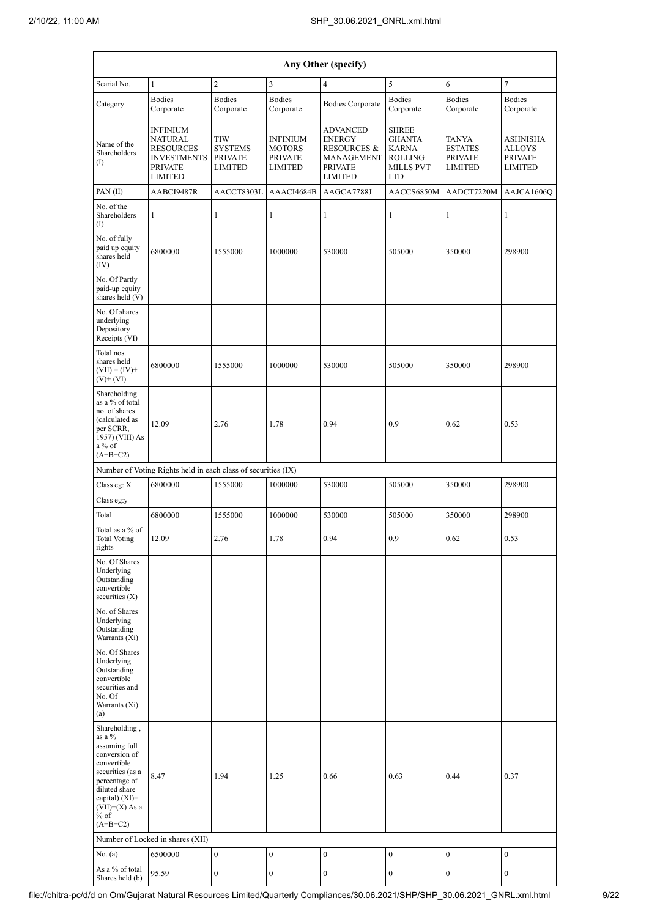|                                                                                                                                                                                                | Any Other (specify)                                                                                             |                                                           |                                                                      |                                                                                                              |                                                                                                   |                                                      |                                                               |  |
|------------------------------------------------------------------------------------------------------------------------------------------------------------------------------------------------|-----------------------------------------------------------------------------------------------------------------|-----------------------------------------------------------|----------------------------------------------------------------------|--------------------------------------------------------------------------------------------------------------|---------------------------------------------------------------------------------------------------|------------------------------------------------------|---------------------------------------------------------------|--|
| Searial No.                                                                                                                                                                                    | $\mathbf{1}$                                                                                                    | $\boldsymbol{2}$                                          | $\mathfrak{Z}$                                                       | $\overline{4}$                                                                                               | $\sqrt{5}$                                                                                        | 6                                                    | $\tau$                                                        |  |
| Category                                                                                                                                                                                       | <b>Bodies</b><br>Corporate                                                                                      | <b>Bodies</b><br>Corporate                                | <b>Bodies</b><br>Corporate                                           | <b>Bodies Corporate</b>                                                                                      | <b>Bodies</b><br>Corporate                                                                        | <b>Bodies</b><br>Corporate                           | <b>Bodies</b><br>Corporate                                    |  |
| Name of the<br>Shareholders<br>$\left( \mathrm{I}\right)$                                                                                                                                      | <b>INFINIUM</b><br><b>NATURAL</b><br><b>RESOURCES</b><br><b>INVESTMENTS</b><br><b>PRIVATE</b><br><b>LIMITED</b> | TIW<br><b>SYSTEMS</b><br><b>PRIVATE</b><br><b>LIMITED</b> | <b>INFINIUM</b><br><b>MOTORS</b><br><b>PRIVATE</b><br><b>LIMITED</b> | <b>ADVANCED</b><br><b>ENERGY</b><br><b>RESOURCES &amp;</b><br>MANAGEMENT<br><b>PRIVATE</b><br><b>LIMITED</b> | <b>SHREE</b><br><b>GHANTA</b><br><b>KARNA</b><br><b>ROLLING</b><br><b>MILLS PVT</b><br><b>LTD</b> | TANYA<br><b>ESTATES</b><br><b>PRIVATE</b><br>LIMITED | <b>ASHNISHA</b><br>ALLOYS<br><b>PRIVATE</b><br><b>LIMITED</b> |  |
| PAN(II)                                                                                                                                                                                        | AABCI9487R                                                                                                      | AACCT8303L                                                | AAACI4684B                                                           | AAGCA7788J                                                                                                   | AACCS6850M                                                                                        | AADCT7220M                                           | AAJCA1606O                                                    |  |
| No. of the<br>Shareholders<br>(I)                                                                                                                                                              | $\mathbf{1}$                                                                                                    | $\mathbf{1}$                                              | $\mathbf{1}$                                                         | $\mathbf{1}$                                                                                                 | $\mathbf{1}$                                                                                      | $\mathbf{1}$                                         | $\mathbf{1}$                                                  |  |
| No. of fully<br>paid up equity<br>shares held<br>(IV)                                                                                                                                          | 6800000                                                                                                         | 1555000                                                   | 1000000                                                              | 530000                                                                                                       | 505000                                                                                            | 350000                                               | 298900                                                        |  |
| No. Of Partly<br>paid-up equity<br>shares held (V)                                                                                                                                             |                                                                                                                 |                                                           |                                                                      |                                                                                                              |                                                                                                   |                                                      |                                                               |  |
| No. Of shares<br>underlying<br>Depository<br>Receipts (VI)                                                                                                                                     |                                                                                                                 |                                                           |                                                                      |                                                                                                              |                                                                                                   |                                                      |                                                               |  |
| Total nos.<br>shares held<br>$(VII) = (IV) +$<br>$(V)$ + $(VI)$                                                                                                                                | 6800000                                                                                                         | 1555000                                                   | 1000000                                                              | 530000                                                                                                       | 505000                                                                                            | 350000                                               | 298900                                                        |  |
| Shareholding<br>as a % of total<br>no. of shares<br>(calculated as<br>per SCRR,<br>1957) (VIII) As<br>a % of<br>$(A+B+C2)$                                                                     | 12.09                                                                                                           | 2.76                                                      | 1.78                                                                 | 0.94                                                                                                         | 0.9                                                                                               | 0.62                                                 | 0.53                                                          |  |
|                                                                                                                                                                                                | Number of Voting Rights held in each class of securities (IX)                                                   |                                                           |                                                                      |                                                                                                              |                                                                                                   |                                                      |                                                               |  |
| Class eg: X                                                                                                                                                                                    | 6800000                                                                                                         | 1555000                                                   | 1000000                                                              | 530000                                                                                                       | 505000                                                                                            | 350000                                               | 298900                                                        |  |
| Class eg:y                                                                                                                                                                                     |                                                                                                                 |                                                           |                                                                      |                                                                                                              |                                                                                                   |                                                      |                                                               |  |
| Total                                                                                                                                                                                          | 6800000                                                                                                         | 1555000                                                   | 1000000                                                              | 530000                                                                                                       | 505000                                                                                            | 350000                                               | 298900                                                        |  |
| Total as a % of<br><b>Total Voting</b><br>rights                                                                                                                                               | 12.09                                                                                                           | 2.76                                                      | 1.78                                                                 | 0.94                                                                                                         | $0.9\,$                                                                                           | 0.62                                                 | 0.53                                                          |  |
| No. Of Shares<br>Underlying<br>Outstanding<br>convertible<br>securities $(X)$                                                                                                                  |                                                                                                                 |                                                           |                                                                      |                                                                                                              |                                                                                                   |                                                      |                                                               |  |
| No. of Shares<br>Underlying<br>Outstanding<br>Warrants (Xi)                                                                                                                                    |                                                                                                                 |                                                           |                                                                      |                                                                                                              |                                                                                                   |                                                      |                                                               |  |
| No. Of Shares<br>Underlying<br>Outstanding<br>convertible<br>securities and<br>No. Of<br>Warrants (Xi)<br>(a)                                                                                  |                                                                                                                 |                                                           |                                                                      |                                                                                                              |                                                                                                   |                                                      |                                                               |  |
| Shareholding,<br>as a %<br>assuming full<br>conversion of<br>convertible<br>securities (as a<br>percentage of<br>diluted share<br>capital) $(XI)=$<br>$(VII)+(X)$ As a<br>$%$ of<br>$(A+B+C2)$ | 8.47                                                                                                            | 1.94                                                      | 1.25                                                                 | 0.66                                                                                                         | 0.63                                                                                              | 0.44                                                 | 0.37                                                          |  |
|                                                                                                                                                                                                | Number of Locked in shares (XII)                                                                                |                                                           |                                                                      |                                                                                                              |                                                                                                   |                                                      |                                                               |  |
| No. (a)                                                                                                                                                                                        | 6500000                                                                                                         | $\boldsymbol{0}$                                          | $\boldsymbol{0}$                                                     | $\boldsymbol{0}$                                                                                             | $\boldsymbol{0}$                                                                                  | $\boldsymbol{0}$                                     | $\boldsymbol{0}$                                              |  |
| As a % of total<br>Shares held (b)                                                                                                                                                             | 95.59                                                                                                           | $\boldsymbol{0}$                                          | $\boldsymbol{0}$                                                     | $\boldsymbol{0}$                                                                                             | $\boldsymbol{0}$                                                                                  | $\boldsymbol{0}$                                     | $\boldsymbol{0}$                                              |  |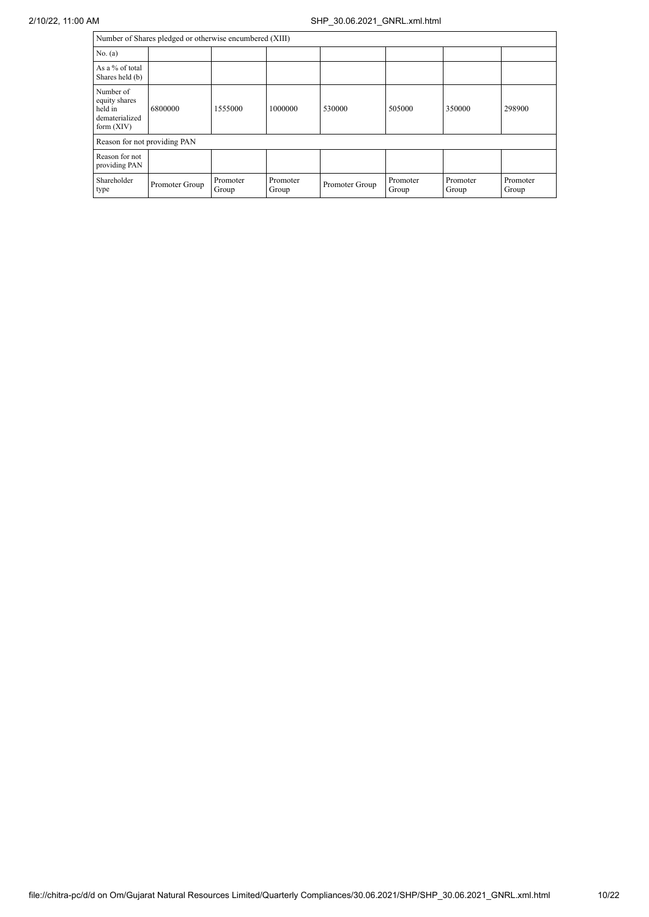| Number of Shares pledged or otherwise encumbered (XIII)                 |                |                   |                   |                |                   |                   |                   |
|-------------------------------------------------------------------------|----------------|-------------------|-------------------|----------------|-------------------|-------------------|-------------------|
| No. (a)                                                                 |                |                   |                   |                |                   |                   |                   |
| As a % of total<br>Shares held (b)                                      |                |                   |                   |                |                   |                   |                   |
| Number of<br>equity shares<br>held in<br>dematerialized<br>form $(XIV)$ | 6800000        | 1555000           | 1000000           | 530000         | 505000            | 350000            | 298900            |
| Reason for not providing PAN                                            |                |                   |                   |                |                   |                   |                   |
| Reason for not<br>providing PAN                                         |                |                   |                   |                |                   |                   |                   |
| Shareholder<br>type                                                     | Promoter Group | Promoter<br>Group | Promoter<br>Group | Promoter Group | Promoter<br>Group | Promoter<br>Group | Promoter<br>Group |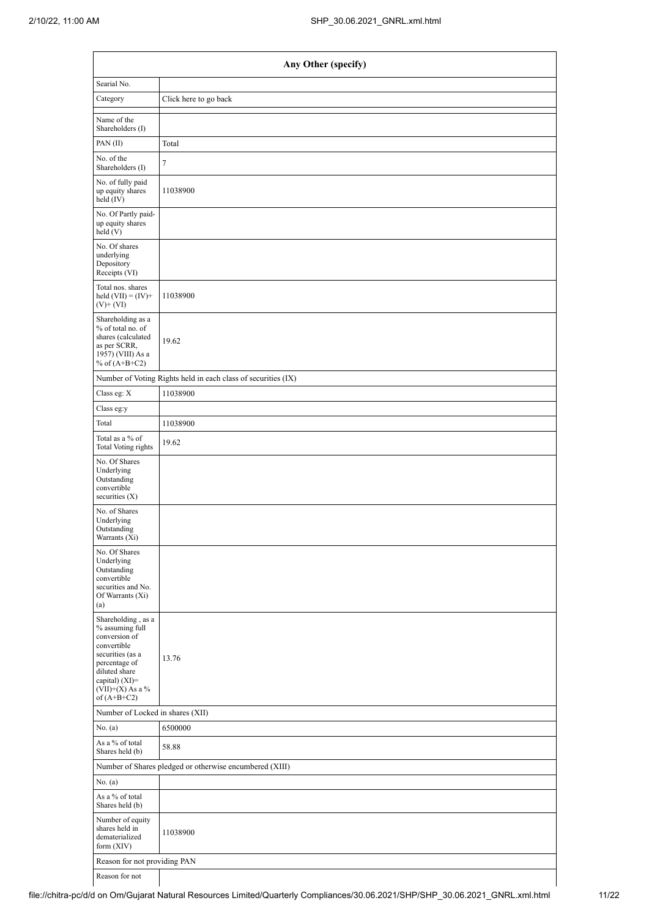| Any Other (specify)                                                                                                                                                                  |                                                               |  |  |  |  |  |
|--------------------------------------------------------------------------------------------------------------------------------------------------------------------------------------|---------------------------------------------------------------|--|--|--|--|--|
| Searial No.                                                                                                                                                                          |                                                               |  |  |  |  |  |
| Category                                                                                                                                                                             | Click here to go back                                         |  |  |  |  |  |
| Name of the<br>Shareholders (I)                                                                                                                                                      |                                                               |  |  |  |  |  |
| PAN(II)                                                                                                                                                                              | Total                                                         |  |  |  |  |  |
| No. of the<br>Shareholders (I)                                                                                                                                                       | $\tau$                                                        |  |  |  |  |  |
| No. of fully paid<br>up equity shares<br>held (IV)                                                                                                                                   | 11038900                                                      |  |  |  |  |  |
| No. Of Partly paid-<br>up equity shares<br>held(V)                                                                                                                                   |                                                               |  |  |  |  |  |
| No. Of shares<br>underlying<br>Depository<br>Receipts (VI)                                                                                                                           |                                                               |  |  |  |  |  |
| Total nos. shares<br>held $(VII) = (IV) +$<br>$(V) + (VI)$                                                                                                                           | 11038900                                                      |  |  |  |  |  |
| Shareholding as a<br>% of total no. of<br>shares (calculated<br>as per SCRR,<br>1957) (VIII) As a<br>% of $(A+B+C2)$                                                                 | 19.62                                                         |  |  |  |  |  |
|                                                                                                                                                                                      | Number of Voting Rights held in each class of securities (IX) |  |  |  |  |  |
| Class eg: X                                                                                                                                                                          | 11038900                                                      |  |  |  |  |  |
| Class eg:y                                                                                                                                                                           |                                                               |  |  |  |  |  |
| Total                                                                                                                                                                                | 11038900                                                      |  |  |  |  |  |
| Total as a % of<br><b>Total Voting rights</b>                                                                                                                                        | 19.62                                                         |  |  |  |  |  |
| No. Of Shares<br>Underlying<br>Outstanding<br>convertible<br>securities (X)                                                                                                          |                                                               |  |  |  |  |  |
| No. of Shares<br>Underlying<br>Outstanding<br>Warrants (Xi)                                                                                                                          |                                                               |  |  |  |  |  |
| No. Of Shares<br>Underlying<br>Outstanding<br>convertible<br>securities and No.<br>Of Warrants (Xi)<br>(a)                                                                           |                                                               |  |  |  |  |  |
| Shareholding, as a<br>% assuming full<br>conversion of<br>convertible<br>securities (as a<br>percentage of<br>diluted share<br>capital) (XI)=<br>$(VII)+(X)$ As a %<br>of $(A+B+C2)$ | 13.76                                                         |  |  |  |  |  |
| Number of Locked in shares (XII)                                                                                                                                                     |                                                               |  |  |  |  |  |
| No. $(a)$                                                                                                                                                                            | 6500000                                                       |  |  |  |  |  |
| As a % of total<br>Shares held (b)                                                                                                                                                   | 58.88                                                         |  |  |  |  |  |
|                                                                                                                                                                                      | Number of Shares pledged or otherwise encumbered (XIII)       |  |  |  |  |  |
| No. (a)                                                                                                                                                                              |                                                               |  |  |  |  |  |
| As a % of total<br>Shares held (b)                                                                                                                                                   |                                                               |  |  |  |  |  |
| Number of equity<br>shares held in<br>dematerialized<br>form (XIV)                                                                                                                   | 11038900                                                      |  |  |  |  |  |
| Reason for not providing PAN                                                                                                                                                         |                                                               |  |  |  |  |  |

Reason for not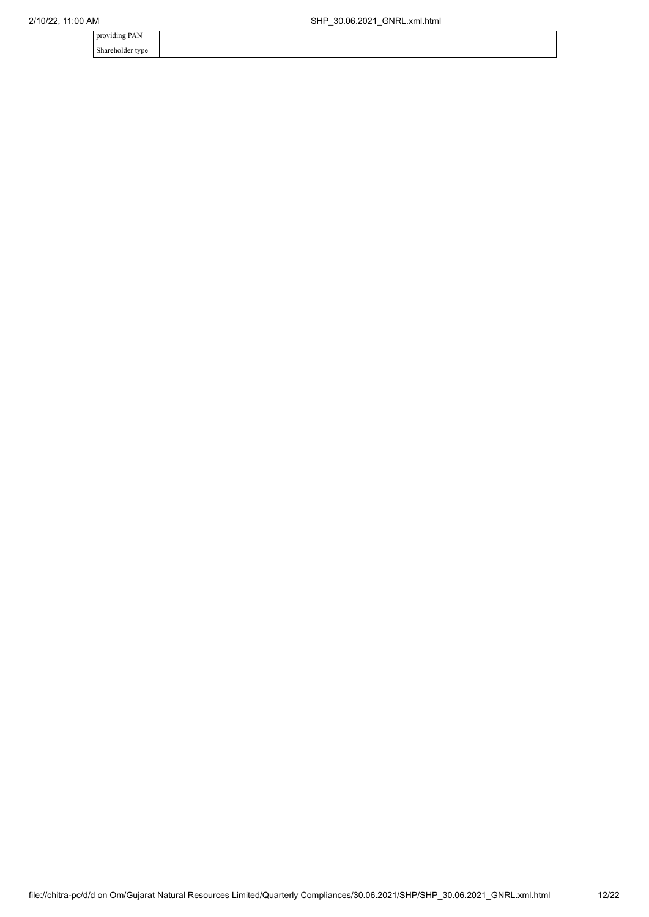| providing PAN    |  |
|------------------|--|
| Shareholder type |  |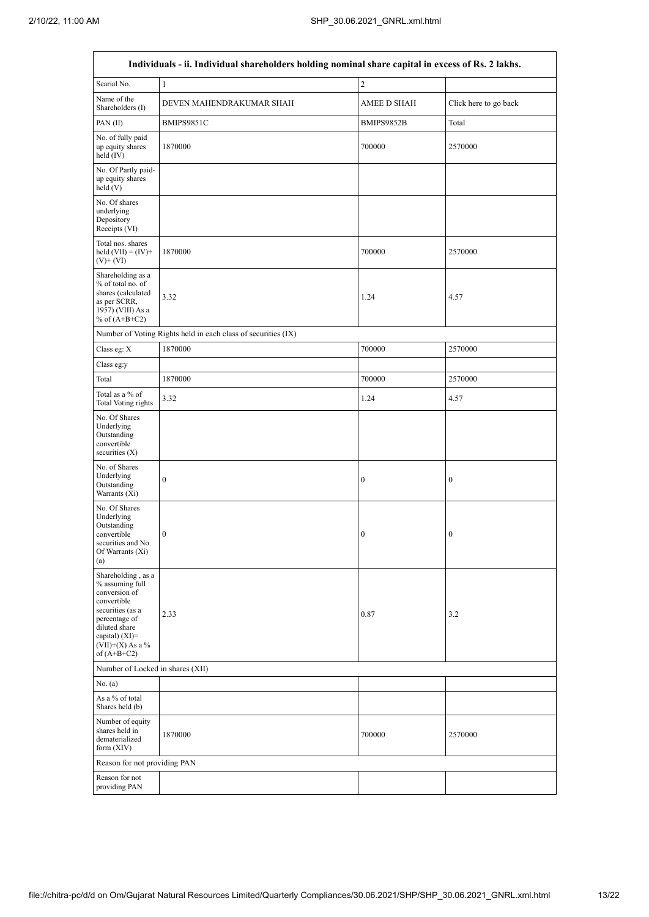|                                                                                                                                                                                      | Individuals - ii. Individual shareholders holding nominal share capital in excess of Rs. 2 lakhs. |                    |                       |
|--------------------------------------------------------------------------------------------------------------------------------------------------------------------------------------|---------------------------------------------------------------------------------------------------|--------------------|-----------------------|
| Searial No.                                                                                                                                                                          | $\mathbf{1}$                                                                                      | $\overline{c}$     |                       |
| Name of the<br>Shareholders (I)                                                                                                                                                      | DEVEN MAHENDRAKUMAR SHAH                                                                          | <b>AMEE D SHAH</b> | Click here to go back |
| PAN(II)                                                                                                                                                                              | BMIPS9851C                                                                                        | BMIPS9852B         | Total                 |
| No. of fully paid<br>up equity shares<br>held (IV)                                                                                                                                   | 1870000                                                                                           | 700000             | 2570000               |
| No. Of Partly paid-<br>up equity shares<br>held(V)                                                                                                                                   |                                                                                                   |                    |                       |
| No. Of shares<br>underlying<br>Depository<br>Receipts (VI)                                                                                                                           |                                                                                                   |                    |                       |
| Total nos. shares<br>held $(VII) = (IV) +$<br>$(V)$ + $(VI)$                                                                                                                         | 1870000                                                                                           | 700000             | 2570000               |
| Shareholding as a<br>% of total no. of<br>shares (calculated<br>as per SCRR,<br>1957) (VIII) As a<br>% of $(A+B+C2)$                                                                 | 3.32                                                                                              | 1.24               | 4.57                  |
|                                                                                                                                                                                      | Number of Voting Rights held in each class of securities (IX)                                     |                    |                       |
| Class eg: X                                                                                                                                                                          | 1870000                                                                                           | 700000             | 2570000               |
| Class eg:y                                                                                                                                                                           |                                                                                                   |                    |                       |
| Total                                                                                                                                                                                | 1870000                                                                                           | 700000             | 2570000               |
| Total as a % of<br><b>Total Voting rights</b>                                                                                                                                        | 3.32                                                                                              | 1.24               | 4.57                  |
| No. Of Shares<br>Underlying<br>Outstanding<br>convertible<br>securities $(X)$                                                                                                        |                                                                                                   |                    |                       |
| No. of Shares<br>Underlying<br>Outstanding<br>Warrants (Xi)                                                                                                                          | $\boldsymbol{0}$                                                                                  | $\boldsymbol{0}$   | $\boldsymbol{0}$      |
| No. Of Shares<br>Underlying<br>Outstanding<br>convertible<br>securities and No.<br>Of Warrants (Xi)<br>(a)                                                                           | $\bf{0}$                                                                                          | $\boldsymbol{0}$   | $\boldsymbol{0}$      |
| Shareholding, as a<br>% assuming full<br>conversion of<br>convertible<br>securities (as a<br>percentage of<br>diluted share<br>capital) (XI)=<br>$(VII)+(X)$ As a %<br>of $(A+B+C2)$ | 2.33                                                                                              | 0.87               | 3.2                   |
| Number of Locked in shares (XII)                                                                                                                                                     |                                                                                                   |                    |                       |
| No. (a)                                                                                                                                                                              |                                                                                                   |                    |                       |
| As a % of total<br>Shares held (b)                                                                                                                                                   |                                                                                                   |                    |                       |
| Number of equity<br>shares held in<br>dematerialized<br>form $(XIV)$                                                                                                                 | 1870000                                                                                           | 700000             | 2570000               |
| Reason for not providing PAN                                                                                                                                                         |                                                                                                   |                    |                       |
| Reason for not<br>providing PAN                                                                                                                                                      |                                                                                                   |                    |                       |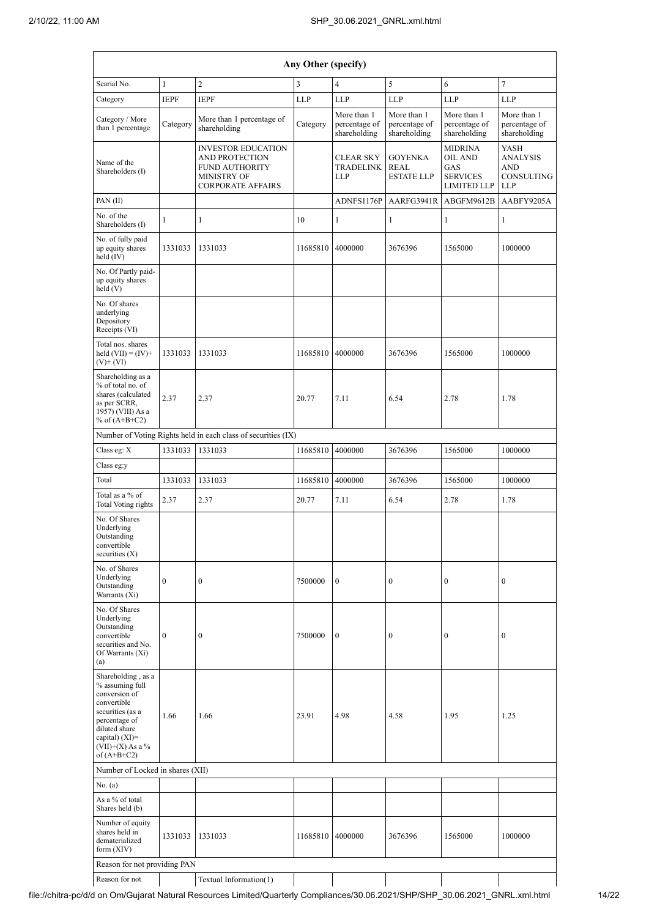|                                                                                                                                                                                        |                  |                                                                                                                               | Any Other (specify) |                                              |                                                    |                                                                           |                                                                   |
|----------------------------------------------------------------------------------------------------------------------------------------------------------------------------------------|------------------|-------------------------------------------------------------------------------------------------------------------------------|---------------------|----------------------------------------------|----------------------------------------------------|---------------------------------------------------------------------------|-------------------------------------------------------------------|
| Searial No.                                                                                                                                                                            | $\mathbf{1}$     | $\overline{c}$                                                                                                                | 3                   | $\overline{4}$                               | $\sqrt{5}$                                         | 6                                                                         | $\overline{7}$                                                    |
| Category                                                                                                                                                                               | <b>IEPF</b>      | <b>IEPF</b>                                                                                                                   | LLP                 | <b>LLP</b>                                   | <b>LLP</b>                                         | <b>LLP</b>                                                                | <b>LLP</b>                                                        |
| Category / More<br>than 1 percentage                                                                                                                                                   | Category         | More than 1 percentage of<br>shareholding                                                                                     | Category            | More than 1<br>percentage of<br>shareholding | More than 1<br>percentage of<br>shareholding       | More than 1<br>percentage of<br>shareholding                              | More than 1<br>percentage of<br>shareholding                      |
| Name of the<br>Shareholders (I)                                                                                                                                                        |                  | <b>INVESTOR EDUCATION</b><br><b>AND PROTECTION</b><br><b>FUND AUTHORITY</b><br><b>MINISTRY OF</b><br><b>CORPORATE AFFAIRS</b> |                     | <b>CLEAR SKY</b><br>TRADELINK<br><b>LLP</b>  | <b>GOYENKA</b><br><b>REAL</b><br><b>ESTATE LLP</b> | <b>MIDRINA</b><br>OIL AND<br>GAS<br><b>SERVICES</b><br><b>LIMITED LLP</b> | YASH<br><b>ANALYSIS</b><br><b>AND</b><br>CONSULTING<br><b>LLP</b> |
| PAN(II)                                                                                                                                                                                |                  |                                                                                                                               |                     | ADNFS1176P                                   | AARFG3941R                                         | ABGFM9612B                                                                | AABFY9205A                                                        |
| No. of the<br>Shareholders (I)                                                                                                                                                         | $\mathbf{1}$     | 1                                                                                                                             | 10                  | 1                                            | $\mathbf{1}$                                       | $\mathbf{1}$                                                              | 1                                                                 |
| No. of fully paid<br>up equity shares<br>held (IV)                                                                                                                                     | 1331033          | 1331033                                                                                                                       | 11685810            | 4000000                                      | 3676396                                            | 1565000                                                                   | 1000000                                                           |
| No. Of Partly paid-<br>up equity shares<br>held (V)                                                                                                                                    |                  |                                                                                                                               |                     |                                              |                                                    |                                                                           |                                                                   |
| No. Of shares<br>underlying<br>Depository<br>Receipts (VI)                                                                                                                             |                  |                                                                                                                               |                     |                                              |                                                    |                                                                           |                                                                   |
| Total nos. shares<br>held $(VII) = (IV) +$<br>$(V)+(VI)$                                                                                                                               | 1331033          | 1331033                                                                                                                       | 11685810            | 4000000                                      | 3676396                                            | 1565000                                                                   | 1000000                                                           |
| Shareholding as a<br>% of total no. of<br>shares (calculated<br>as per SCRR,<br>1957) (VIII) As a<br>% of $(A+B+C2)$                                                                   | 2.37             | 2.37                                                                                                                          | 20.77               | 7.11                                         | 6.54                                               | 2.78                                                                      | 1.78                                                              |
|                                                                                                                                                                                        |                  | Number of Voting Rights held in each class of securities (IX)                                                                 |                     |                                              |                                                    |                                                                           |                                                                   |
| Class eg: X                                                                                                                                                                            | 1331033          | 1331033                                                                                                                       | 11685810            | 4000000                                      | 3676396                                            | 1565000                                                                   | 1000000                                                           |
| Class eg:y                                                                                                                                                                             |                  |                                                                                                                               |                     |                                              |                                                    |                                                                           |                                                                   |
| Total                                                                                                                                                                                  | 1331033          | 1331033                                                                                                                       | 11685810            | 4000000                                      | 3676396                                            | 1565000                                                                   | 1000000                                                           |
| Total as a % of<br>Total Voting rights                                                                                                                                                 | 2.37             | 2.37                                                                                                                          | 20.77               | 7.11                                         | 6.54                                               | 2.78                                                                      | 1.78                                                              |
| No. Of Shares<br>Underlying<br>Outstanding<br>convertible<br>securities $(X)$                                                                                                          |                  |                                                                                                                               |                     |                                              |                                                    |                                                                           |                                                                   |
| No. of Shares<br>Underlying<br>Outstanding<br>Warrants (Xi)                                                                                                                            | $\overline{0}$   | $\boldsymbol{0}$                                                                                                              | 7500000             | $\boldsymbol{0}$                             | $\boldsymbol{0}$                                   | $\overline{0}$                                                            | $\boldsymbol{0}$                                                  |
| No. Of Shares<br>Underlying<br>Outstanding<br>convertible<br>securities and No.<br>Of Warrants (Xi)<br>(a)                                                                             | $\boldsymbol{0}$ | $\boldsymbol{0}$                                                                                                              | 7500000             | $\mathbf{0}$                                 | $\boldsymbol{0}$                                   | 0                                                                         | $\boldsymbol{0}$                                                  |
| Shareholding, as a<br>% assuming full<br>conversion of<br>convertible<br>securities (as a<br>percentage of<br>diluted share<br>capital) $(XI)=$<br>$(VII)+(X)$ As a %<br>of $(A+B+C2)$ | 1.66             | 1.66                                                                                                                          | 23.91               | 4.98                                         | 4.58                                               | 1.95                                                                      | 1.25                                                              |
| Number of Locked in shares (XII)                                                                                                                                                       |                  |                                                                                                                               |                     |                                              |                                                    |                                                                           |                                                                   |
| No. (a)                                                                                                                                                                                |                  |                                                                                                                               |                     |                                              |                                                    |                                                                           |                                                                   |
| As a % of total<br>Shares held (b)                                                                                                                                                     |                  |                                                                                                                               |                     |                                              |                                                    |                                                                           |                                                                   |
| Number of equity<br>shares held in<br>dematerialized<br>form $(XIV)$                                                                                                                   | 1331033          | 1331033                                                                                                                       | 11685810            | 4000000                                      | 3676396                                            | 1565000                                                                   | 1000000                                                           |
| Reason for not providing PAN                                                                                                                                                           |                  |                                                                                                                               |                     |                                              |                                                    |                                                                           |                                                                   |
| Reason for not                                                                                                                                                                         |                  | Textual Information(1)                                                                                                        |                     |                                              |                                                    |                                                                           |                                                                   |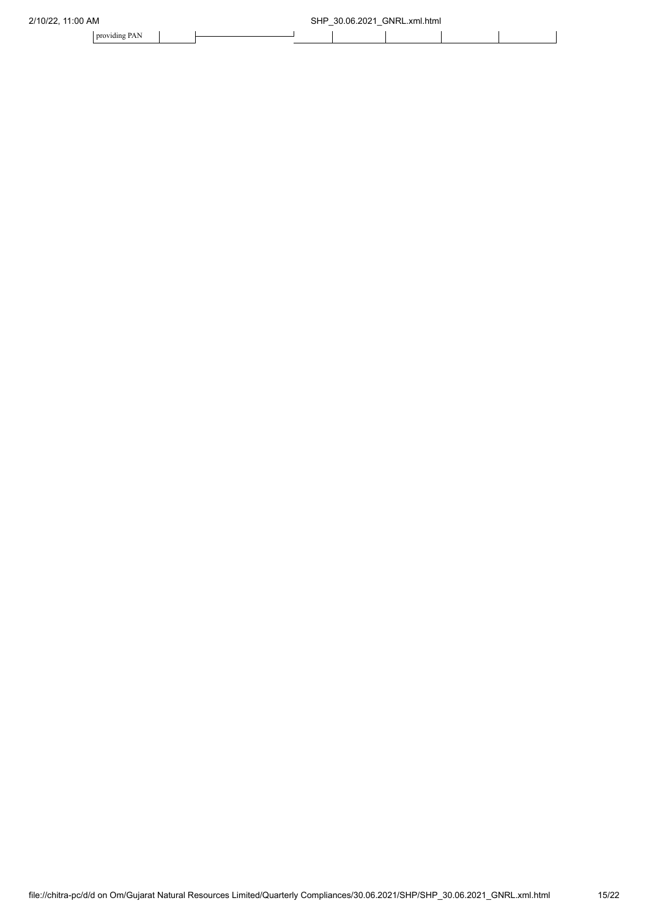| 2/10/22,<br>11:00 AM |  | SHP<br>- | 30.06.2021<br>- | GNRI<br>L.xml.html |  |  |
|----------------------|--|----------|-----------------|--------------------|--|--|
| providing PAN        |  |          |                 |                    |  |  |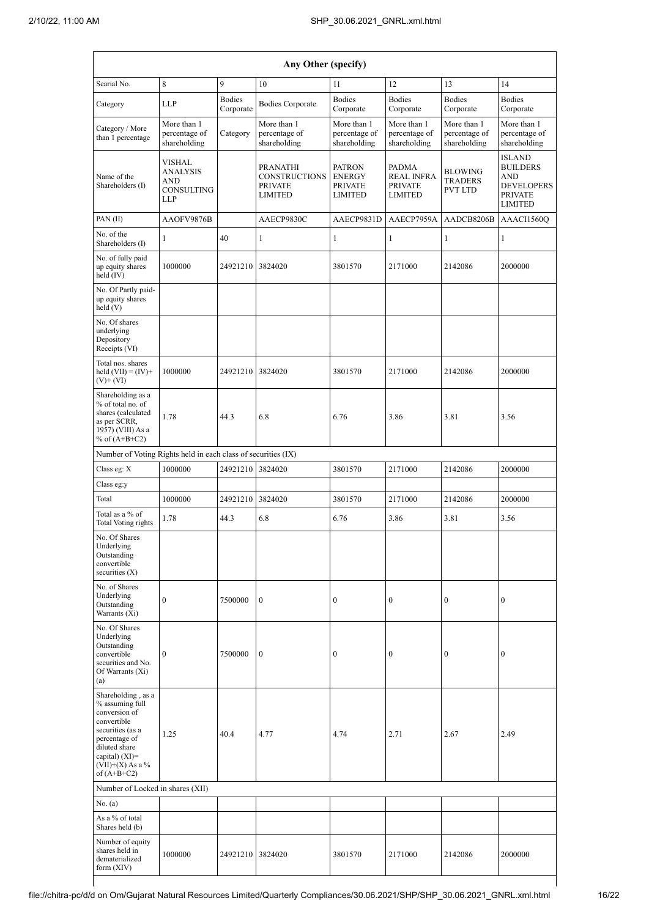|                                                                                                                                                                                        | Any Other (specify)                                                 |                            |                                                                      |                                                                    |                                                                       |                                              |                                                                                                         |  |  |  |  |  |
|----------------------------------------------------------------------------------------------------------------------------------------------------------------------------------------|---------------------------------------------------------------------|----------------------------|----------------------------------------------------------------------|--------------------------------------------------------------------|-----------------------------------------------------------------------|----------------------------------------------|---------------------------------------------------------------------------------------------------------|--|--|--|--|--|
| Searial No.                                                                                                                                                                            | 8                                                                   | $\mathbf{Q}$               | 10                                                                   | 11                                                                 | 12                                                                    | 13                                           | 14                                                                                                      |  |  |  |  |  |
| Category                                                                                                                                                                               | <b>LLP</b>                                                          | <b>Bodies</b><br>Corporate | <b>Bodies Corporate</b>                                              | <b>Bodies</b><br>Corporate                                         | <b>Bodies</b><br>Corporate                                            | <b>Bodies</b><br>Corporate                   | <b>Bodies</b><br>Corporate                                                                              |  |  |  |  |  |
| Category / More<br>than 1 percentage                                                                                                                                                   | More than 1<br>percentage of<br>shareholding                        | Category                   | More than 1<br>percentage of<br>shareholding                         | More than 1<br>percentage of<br>shareholding                       | More than 1<br>percentage of<br>shareholding                          | More than 1<br>percentage of<br>shareholding | More than 1<br>percentage of<br>shareholding                                                            |  |  |  |  |  |
| Name of the<br>Shareholders (I)                                                                                                                                                        | <b>VISHAL</b><br><b>ANALYSIS</b><br>AND<br>CONSULTING<br><b>LLP</b> |                            | PRANATHI<br><b>CONSTRUCTIONS</b><br><b>PRIVATE</b><br><b>LIMITED</b> | <b>PATRON</b><br><b>ENERGY</b><br><b>PRIVATE</b><br><b>LIMITED</b> | <b>PADMA</b><br><b>REAL INFRA</b><br><b>PRIVATE</b><br><b>LIMITED</b> | BLOWING<br><b>TRADERS</b><br>PVT LTD         | <b>ISLAND</b><br><b>BUILDERS</b><br><b>AND</b><br><b>DEVELOPERS</b><br><b>PRIVATE</b><br><b>LIMITED</b> |  |  |  |  |  |
| PAN(II)                                                                                                                                                                                | AAOFV9876B                                                          |                            | AAECP9830C                                                           | AAECP9831D                                                         | AAECP7959A                                                            | AAACI1560Q                                   |                                                                                                         |  |  |  |  |  |
| No. of the<br>Shareholders (I)                                                                                                                                                         | 1                                                                   | 40                         | 1                                                                    | 1                                                                  | 1                                                                     | 1                                            | 1                                                                                                       |  |  |  |  |  |
| No. of fully paid<br>up equity shares<br>held (IV)                                                                                                                                     | 1000000                                                             | 24921210                   | 3824020                                                              | 3801570                                                            | 2171000                                                               | 2142086                                      | 2000000                                                                                                 |  |  |  |  |  |
| No. Of Partly paid-<br>up equity shares<br>held(V)                                                                                                                                     |                                                                     |                            |                                                                      |                                                                    |                                                                       |                                              |                                                                                                         |  |  |  |  |  |
| No. Of shares<br>underlying<br>Depository<br>Receipts (VI)                                                                                                                             |                                                                     |                            |                                                                      |                                                                    |                                                                       |                                              |                                                                                                         |  |  |  |  |  |
| Total nos. shares<br>1000000<br>held $(VII) = (IV) +$<br>$(V)$ + $(VI)$                                                                                                                |                                                                     | 24921210                   | 3824020                                                              | 3801570                                                            | 2171000                                                               | 2142086                                      | 2000000                                                                                                 |  |  |  |  |  |
| Shareholding as a<br>% of total no. of<br>shares (calculated<br>as per SCRR,<br>1957) (VIII) As a<br>% of $(A+B+C2)$                                                                   | 1.78                                                                | 44.3                       | 6.8                                                                  | 6.76                                                               | 3.86                                                                  | 3.81                                         | 3.56                                                                                                    |  |  |  |  |  |
| Number of Voting Rights held in each class of securities (IX)                                                                                                                          |                                                                     |                            |                                                                      |                                                                    |                                                                       |                                              |                                                                                                         |  |  |  |  |  |
| Class eg: X                                                                                                                                                                            | 1000000                                                             | 24921210                   | 3824020                                                              | 3801570                                                            | 2171000                                                               | 2142086                                      | 2000000                                                                                                 |  |  |  |  |  |
| Class eg:y<br>Total                                                                                                                                                                    | 1000000                                                             | 24921210                   | 3824020                                                              | 3801570                                                            | 2171000                                                               | 2142086                                      | 2000000                                                                                                 |  |  |  |  |  |
| Total as a % of                                                                                                                                                                        | 1.78                                                                | 44.3                       | 6.8                                                                  | 6.76                                                               | 3.86                                                                  | 3.81                                         | 3.56                                                                                                    |  |  |  |  |  |
| Total Voting rights<br>No. Of Shares<br>Underlying<br>Outstanding<br>convertible<br>securities $(X)$                                                                                   |                                                                     |                            |                                                                      |                                                                    |                                                                       |                                              |                                                                                                         |  |  |  |  |  |
| No. of Shares<br>Underlying<br>Outstanding<br>Warrants (Xi)                                                                                                                            | $\mathbf{0}$                                                        | 7500000                    | $\boldsymbol{0}$                                                     | $\mathbf{0}$                                                       | $\boldsymbol{0}$                                                      | $\mathbf{0}$                                 | $\mathbf{0}$                                                                                            |  |  |  |  |  |
| No. Of Shares<br>Underlying<br>Outstanding<br>convertible<br>securities and No.<br>Of Warrants (Xi)<br>(a)                                                                             | $\mathbf{0}$                                                        | 7500000                    | $\boldsymbol{0}$                                                     | $\boldsymbol{0}$                                                   | $\boldsymbol{0}$                                                      | $\mathbf{0}$                                 | $\mathbf{0}$                                                                                            |  |  |  |  |  |
| Shareholding, as a<br>% assuming full<br>conversion of<br>convertible<br>securities (as a<br>percentage of<br>diluted share<br>capital) $(XI)=$<br>$(VII)+(X)$ As a %<br>of $(A+B+C2)$ | 1.25                                                                | 40.4                       | 4.77                                                                 | 4.74                                                               | 2.71                                                                  | 2.67                                         | 2.49                                                                                                    |  |  |  |  |  |
| Number of Locked in shares (XII)                                                                                                                                                       |                                                                     |                            |                                                                      |                                                                    |                                                                       |                                              |                                                                                                         |  |  |  |  |  |
| No. (a)<br>As a % of total                                                                                                                                                             |                                                                     |                            |                                                                      |                                                                    |                                                                       |                                              |                                                                                                         |  |  |  |  |  |
| Shares held (b)                                                                                                                                                                        |                                                                     |                            |                                                                      |                                                                    |                                                                       |                                              |                                                                                                         |  |  |  |  |  |
| Number of equity<br>shares held in<br>dematerialized<br>form (XIV)                                                                                                                     | 1000000                                                             | 24921210                   | 3824020                                                              | 3801570                                                            | 2171000                                                               | 2142086                                      | 2000000                                                                                                 |  |  |  |  |  |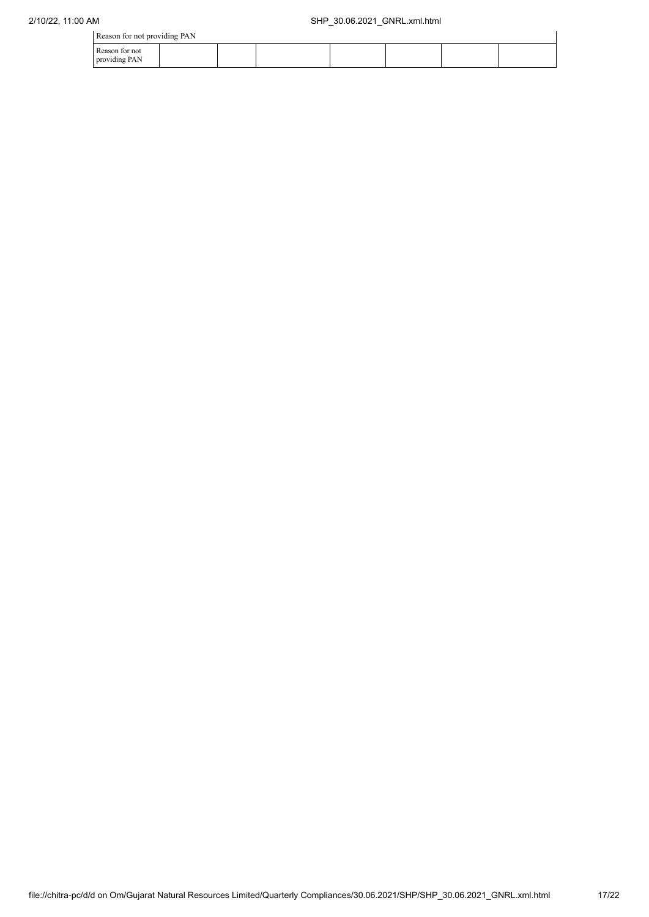|  |  |  |  | Reason for not providing PAN |  |
|--|--|--|--|------------------------------|--|
|--|--|--|--|------------------------------|--|

| $\frac{1}{2}$ reason for not providing $\frac{1}{2}$ if $\frac{1}{2}$ |  |  |  |  |
|-----------------------------------------------------------------------|--|--|--|--|
| Reason for not<br>providing PAN                                       |  |  |  |  |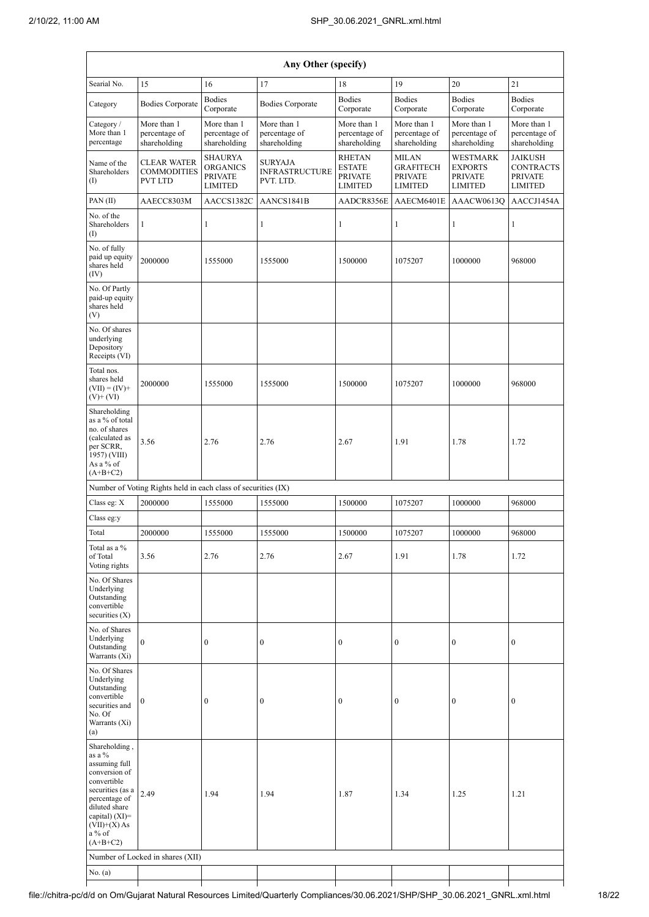|                                                                                                                                                                                                | Any Other (specify)                                                                                                                          |                                                                       |                                                      |                                                                    |                                                                      |                                                                       |                                                                        |  |  |  |  |  |
|------------------------------------------------------------------------------------------------------------------------------------------------------------------------------------------------|----------------------------------------------------------------------------------------------------------------------------------------------|-----------------------------------------------------------------------|------------------------------------------------------|--------------------------------------------------------------------|----------------------------------------------------------------------|-----------------------------------------------------------------------|------------------------------------------------------------------------|--|--|--|--|--|
| Searial No.                                                                                                                                                                                    | 15                                                                                                                                           | 16                                                                    | 17                                                   | 18                                                                 | 19                                                                   | 20                                                                    | 21                                                                     |  |  |  |  |  |
| Category                                                                                                                                                                                       | <b>Bodies Corporate</b>                                                                                                                      | <b>Bodies</b><br>Corporate                                            | <b>Bodies Corporate</b>                              | <b>Bodies</b><br>Corporate                                         | <b>Bodies</b><br>Corporate                                           | <b>Bodies</b><br>Corporate                                            | <b>Bodies</b><br>Corporate                                             |  |  |  |  |  |
| Category /<br>More than 1<br>percentage                                                                                                                                                        | More than 1<br>More than 1<br>More than 1<br>percentage of<br>percentage of<br>percentage of<br>shareholding<br>shareholding<br>shareholding |                                                                       | More than 1<br>percentage of<br>shareholding         | More than 1<br>percentage of<br>shareholding                       | More than 1<br>percentage of<br>shareholding                         | More than 1<br>percentage of<br>shareholding                          |                                                                        |  |  |  |  |  |
| Name of the<br>Shareholders<br>(I)                                                                                                                                                             | CLEAR WATER<br><b>COMMODITIES</b><br><b>PVT LTD</b>                                                                                          | <b>SHAURYA</b><br><b>ORGANICS</b><br><b>PRIVATE</b><br><b>LIMITED</b> | <b>SURYAJA</b><br><b>INFRASTRUCTURE</b><br>PVT. LTD. | <b>RHETAN</b><br><b>ESTATE</b><br><b>PRIVATE</b><br><b>LIMITED</b> | <b>MILAN</b><br><b>GRAFITECH</b><br><b>PRIVATE</b><br><b>LIMITED</b> | <b>WESTMARK</b><br><b>EXPORTS</b><br><b>PRIVATE</b><br><b>LIMITED</b> | <b>JAIKUSH</b><br><b>CONTRACTS</b><br><b>PRIVATE</b><br><b>LIMITED</b> |  |  |  |  |  |
| PAN(II)                                                                                                                                                                                        | AAECC8303M                                                                                                                                   | AACCS1382C                                                            | AANCS1841B                                           | AADCR8356E                                                         | AAECM6401E                                                           | AAACW0613Q                                                            | AACCJ1454A                                                             |  |  |  |  |  |
| No. of the<br>Shareholders<br>(I)                                                                                                                                                              | 1                                                                                                                                            | 1                                                                     | 1                                                    | 1                                                                  | 1                                                                    | 1                                                                     | 1                                                                      |  |  |  |  |  |
| No. of fully<br>paid up equity<br>shares held<br>(IV)                                                                                                                                          | 2000000                                                                                                                                      | 1555000                                                               | 1555000                                              | 1500000                                                            | 1075207                                                              | 1000000                                                               | 968000                                                                 |  |  |  |  |  |
| No. Of Partly<br>paid-up equity<br>shares held<br>(V)                                                                                                                                          |                                                                                                                                              |                                                                       |                                                      |                                                                    |                                                                      |                                                                       |                                                                        |  |  |  |  |  |
| No. Of shares<br>underlying<br>Depository<br>Receipts (VI)                                                                                                                                     |                                                                                                                                              |                                                                       |                                                      |                                                                    |                                                                      |                                                                       |                                                                        |  |  |  |  |  |
| Total nos.<br>shares held<br>$(VII) = (IV) +$<br>$(V)$ + $(V)$                                                                                                                                 | 2000000                                                                                                                                      | 1555000                                                               | 1555000                                              | 1500000                                                            | 1075207                                                              | 1000000                                                               | 968000                                                                 |  |  |  |  |  |
| Shareholding<br>as a % of total<br>no. of shares<br>(calculated as<br>per SCRR,<br>1957) (VIII)<br>As a % of<br>$(A+B+C2)$                                                                     | 3.56                                                                                                                                         | 2.76                                                                  | 2.76                                                 | 2.67                                                               | 1.91                                                                 | 1.78                                                                  | 1.72                                                                   |  |  |  |  |  |
|                                                                                                                                                                                                | Number of Voting Rights held in each class of securities (IX)                                                                                |                                                                       |                                                      |                                                                    |                                                                      |                                                                       |                                                                        |  |  |  |  |  |
| Class eg: X                                                                                                                                                                                    | 2000000                                                                                                                                      | 1555000                                                               | 1555000                                              | 1500000                                                            | 1075207                                                              | 1000000                                                               | 968000                                                                 |  |  |  |  |  |
| Class eg:y<br>Total                                                                                                                                                                            | 2000000                                                                                                                                      | 1555000                                                               | 1555000                                              | 1500000                                                            | 1075207                                                              | 1000000                                                               | 968000                                                                 |  |  |  |  |  |
| Total as a %<br>of Total<br>Voting rights                                                                                                                                                      | 3.56                                                                                                                                         | 2.76                                                                  | 2.76                                                 | 2.67                                                               | 1.91                                                                 | 1.78                                                                  | 1.72                                                                   |  |  |  |  |  |
| No. Of Shares<br>Underlying<br>Outstanding<br>convertible<br>securities $(X)$                                                                                                                  |                                                                                                                                              |                                                                       |                                                      |                                                                    |                                                                      |                                                                       |                                                                        |  |  |  |  |  |
| No. of Shares<br>Underlying<br>Outstanding<br>Warrants (Xi)                                                                                                                                    | $\boldsymbol{0}$                                                                                                                             | $\boldsymbol{0}$                                                      | $\boldsymbol{0}$                                     | $\boldsymbol{0}$                                                   | $\boldsymbol{0}$                                                     | $\boldsymbol{0}$                                                      | $\boldsymbol{0}$                                                       |  |  |  |  |  |
| No. Of Shares<br>Underlying<br>Outstanding<br>convertible<br>securities and<br>No. Of<br>Warrants (Xi)<br>(a)                                                                                  | $\boldsymbol{0}$                                                                                                                             | $\boldsymbol{0}$                                                      | $\boldsymbol{0}$                                     | $\boldsymbol{0}$                                                   | $\bf{0}$                                                             | $\boldsymbol{0}$                                                      | $\boldsymbol{0}$                                                       |  |  |  |  |  |
| Shareholding,<br>as a %<br>assuming full<br>conversion of<br>convertible<br>securities (as a<br>percentage of<br>diluted share<br>capital) $(XI)=$<br>$(VII)+(X) As$<br>$a\%$ of<br>$(A+B+C2)$ | 2.49<br>Number of Locked in shares (XII)                                                                                                     | 1.94                                                                  | 1.94                                                 | 1.87                                                               | 1.34                                                                 | 1.25                                                                  | 1.21                                                                   |  |  |  |  |  |
| No. (a)                                                                                                                                                                                        |                                                                                                                                              |                                                                       |                                                      |                                                                    |                                                                      |                                                                       |                                                                        |  |  |  |  |  |

Τ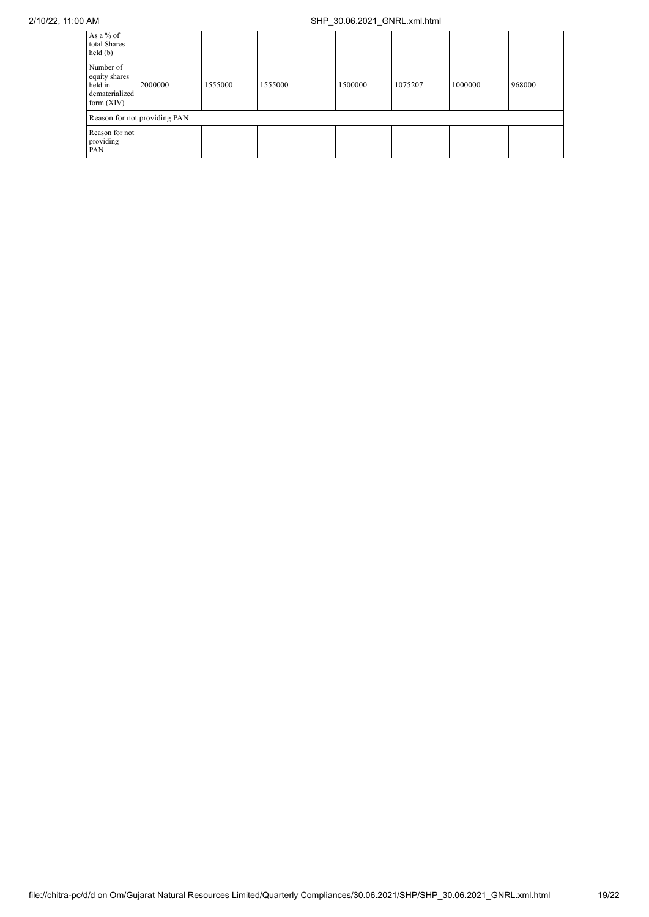## 2/10/22, 11:00 AM SHP\_30.06.2021\_GNRL.xml.html

| As a % of<br>total Shares<br>held(b)                                    |         |         |         |         |         |         |        |  |  |
|-------------------------------------------------------------------------|---------|---------|---------|---------|---------|---------|--------|--|--|
| Number of<br>equity shares<br>held in<br>dematerialized<br>form $(XIV)$ | 2000000 | 1555000 | 1555000 | 1500000 | 1075207 | 1000000 | 968000 |  |  |
| Reason for not providing PAN                                            |         |         |         |         |         |         |        |  |  |
| Reason for not<br>providing<br>PAN                                      |         |         |         |         |         |         |        |  |  |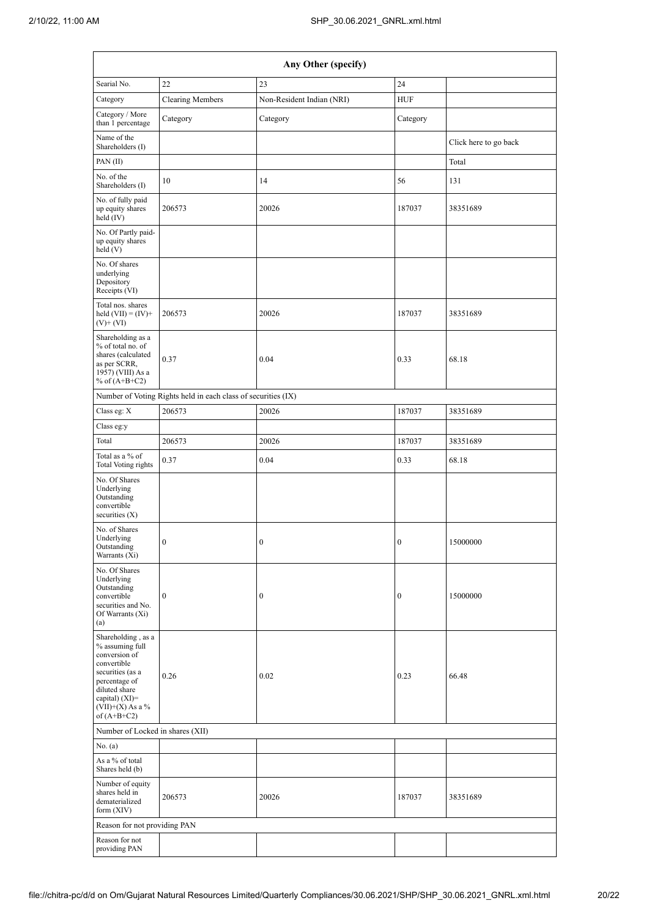|                                                                                                                                                                                      | Any Other (specify)                                           |                           |                  |                       |  |  |  |  |  |  |  |  |
|--------------------------------------------------------------------------------------------------------------------------------------------------------------------------------------|---------------------------------------------------------------|---------------------------|------------------|-----------------------|--|--|--|--|--|--|--|--|
| Searial No.                                                                                                                                                                          | 22                                                            | 23                        | 24               |                       |  |  |  |  |  |  |  |  |
| Category                                                                                                                                                                             | <b>Clearing Members</b>                                       | Non-Resident Indian (NRI) | <b>HUF</b>       |                       |  |  |  |  |  |  |  |  |
| Category / More<br>than 1 percentage                                                                                                                                                 | Category                                                      | Category                  | Category         |                       |  |  |  |  |  |  |  |  |
| Name of the<br>Shareholders (I)                                                                                                                                                      |                                                               |                           |                  | Click here to go back |  |  |  |  |  |  |  |  |
| PAN(II)                                                                                                                                                                              |                                                               |                           |                  | Total                 |  |  |  |  |  |  |  |  |
| No. of the<br>Shareholders (I)                                                                                                                                                       | 10                                                            | 14                        | 56               | 131                   |  |  |  |  |  |  |  |  |
| No. of fully paid<br>up equity shares<br>held $(IV)$                                                                                                                                 | 206573                                                        | 20026                     | 187037           | 38351689              |  |  |  |  |  |  |  |  |
| No. Of Partly paid-<br>up equity shares<br>held(V)                                                                                                                                   |                                                               |                           |                  |                       |  |  |  |  |  |  |  |  |
| No. Of shares<br>underlying<br>Depository<br>Receipts (VI)                                                                                                                           |                                                               |                           |                  |                       |  |  |  |  |  |  |  |  |
| Total nos. shares<br>held $(VII) = (IV) +$<br>$(V)$ + $(VI)$                                                                                                                         | 206573                                                        | 20026                     | 187037           | 38351689              |  |  |  |  |  |  |  |  |
| Shareholding as a<br>% of total no. of<br>shares (calculated<br>as per SCRR,<br>1957) (VIII) As a<br>% of $(A+B+C2)$                                                                 | 0.37                                                          | 0.04                      | 0.33             | 68.18                 |  |  |  |  |  |  |  |  |
|                                                                                                                                                                                      | Number of Voting Rights held in each class of securities (IX) |                           |                  |                       |  |  |  |  |  |  |  |  |
| Class eg: X                                                                                                                                                                          | 206573                                                        | 20026                     | 187037           | 38351689              |  |  |  |  |  |  |  |  |
| Class eg:y                                                                                                                                                                           |                                                               |                           |                  |                       |  |  |  |  |  |  |  |  |
| Total                                                                                                                                                                                | 206573                                                        | 20026                     | 187037           | 38351689              |  |  |  |  |  |  |  |  |
| Total as a % of<br><b>Total Voting rights</b>                                                                                                                                        | 0.37                                                          | 0.04                      | 0.33             | 68.18                 |  |  |  |  |  |  |  |  |
| No. Of Shares<br>Underlying<br>Outstanding<br>convertible<br>securities $(X)$                                                                                                        |                                                               |                           |                  |                       |  |  |  |  |  |  |  |  |
| No. of Shares<br>Underlying<br>Outstanding<br>Warrants (Xi)                                                                                                                          | $\boldsymbol{0}$                                              | $\boldsymbol{0}$          | $\boldsymbol{0}$ | 15000000              |  |  |  |  |  |  |  |  |
| No. Of Shares<br>Underlying<br>Outstanding<br>convertible<br>securities and No.<br>Of Warrants (Xi)<br>(a)                                                                           | $\boldsymbol{0}$                                              | $\boldsymbol{0}$          | $\boldsymbol{0}$ | 15000000              |  |  |  |  |  |  |  |  |
| Shareholding, as a<br>% assuming full<br>conversion of<br>convertible<br>securities (as a<br>percentage of<br>diluted share<br>capital) (XI)=<br>$(VII)+(X)$ As a %<br>of $(A+B+C2)$ | 0.26                                                          | 0.02                      | 0.23             | 66.48                 |  |  |  |  |  |  |  |  |
| Number of Locked in shares (XII)                                                                                                                                                     |                                                               |                           |                  |                       |  |  |  |  |  |  |  |  |
| No. $(a)$                                                                                                                                                                            |                                                               |                           |                  |                       |  |  |  |  |  |  |  |  |
| As a % of total<br>Shares held (b)                                                                                                                                                   |                                                               |                           |                  |                       |  |  |  |  |  |  |  |  |
| Number of equity<br>shares held in<br>dematerialized<br>form (XIV)                                                                                                                   | 206573                                                        | 20026                     | 187037           | 38351689              |  |  |  |  |  |  |  |  |
| Reason for not providing PAN                                                                                                                                                         |                                                               |                           |                  |                       |  |  |  |  |  |  |  |  |
| Reason for not<br>providing PAN                                                                                                                                                      |                                                               |                           |                  |                       |  |  |  |  |  |  |  |  |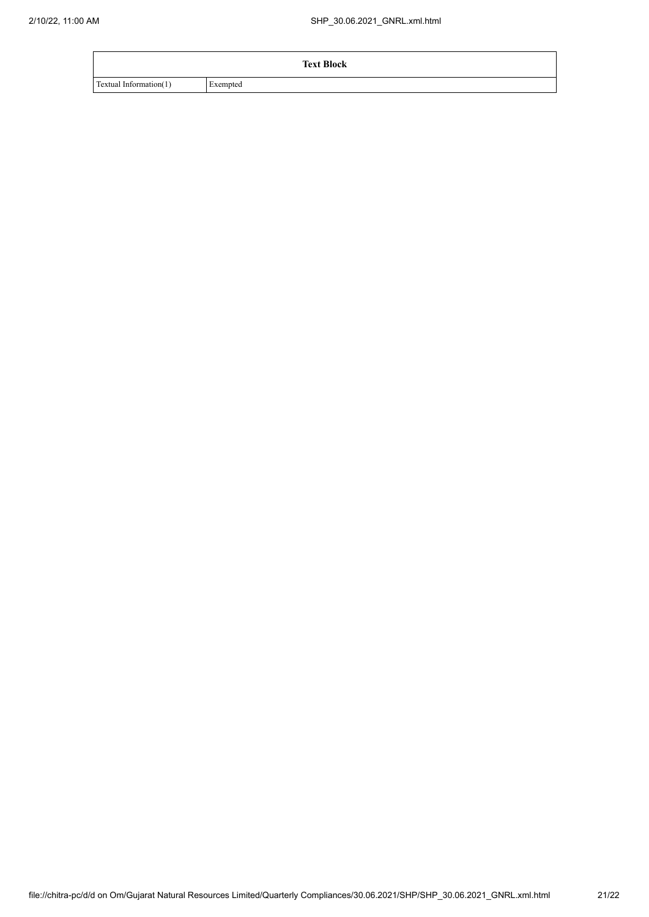|                        | <b>Text Block</b> |  |
|------------------------|-------------------|--|
| Textual Information(1) | Exempted          |  |